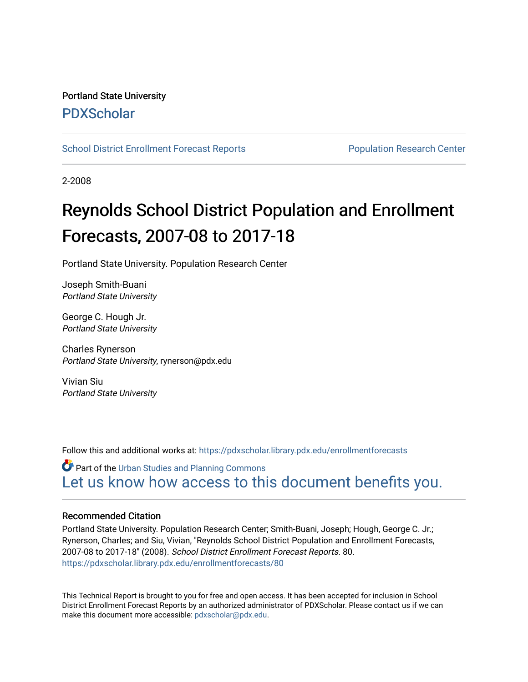# Portland State University [PDXScholar](https://pdxscholar.library.pdx.edu/)

[School District Enrollment Forecast Reports](https://pdxscholar.library.pdx.edu/enrollmentforecasts) **Population Research Center** Population Research Center

2-2008

# Reynolds School District Population and Enrollment Forecasts, 2007-08 to 2017-18

Portland State University. Population Research Center

Joseph Smith-Buani Portland State University

George C. Hough Jr. Portland State University

Charles Rynerson Portland State University, rynerson@pdx.edu

Vivian Siu Portland State University

Follow this and additional works at: [https://pdxscholar.library.pdx.edu/enrollmentforecasts](https://pdxscholar.library.pdx.edu/enrollmentforecasts?utm_source=pdxscholar.library.pdx.edu%2Fenrollmentforecasts%2F80&utm_medium=PDF&utm_campaign=PDFCoverPages) 

Part of the [Urban Studies and Planning Commons](http://network.bepress.com/hgg/discipline/436?utm_source=pdxscholar.library.pdx.edu%2Fenrollmentforecasts%2F80&utm_medium=PDF&utm_campaign=PDFCoverPages) [Let us know how access to this document benefits you.](http://library.pdx.edu/services/pdxscholar-services/pdxscholar-feedback/?ref=https://pdxscholar.library.pdx.edu/enrollmentforecasts/80) 

#### Recommended Citation

Portland State University. Population Research Center; Smith-Buani, Joseph; Hough, George C. Jr.; Rynerson, Charles; and Siu, Vivian, "Reynolds School District Population and Enrollment Forecasts, 2007-08 to 2017-18" (2008). School District Enrollment Forecast Reports. 80. [https://pdxscholar.library.pdx.edu/enrollmentforecasts/80](https://pdxscholar.library.pdx.edu/enrollmentforecasts/80?utm_source=pdxscholar.library.pdx.edu%2Fenrollmentforecasts%2F80&utm_medium=PDF&utm_campaign=PDFCoverPages)

This Technical Report is brought to you for free and open access. It has been accepted for inclusion in School District Enrollment Forecast Reports by an authorized administrator of PDXScholar. Please contact us if we can make this document more accessible: [pdxscholar@pdx.edu.](mailto:pdxscholar@pdx.edu)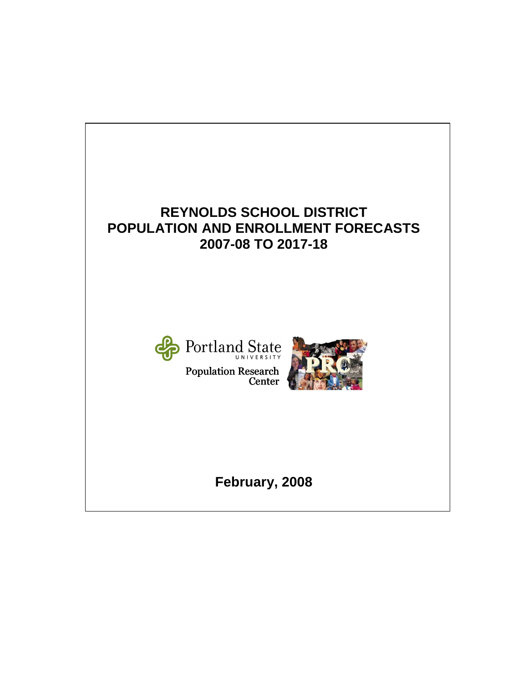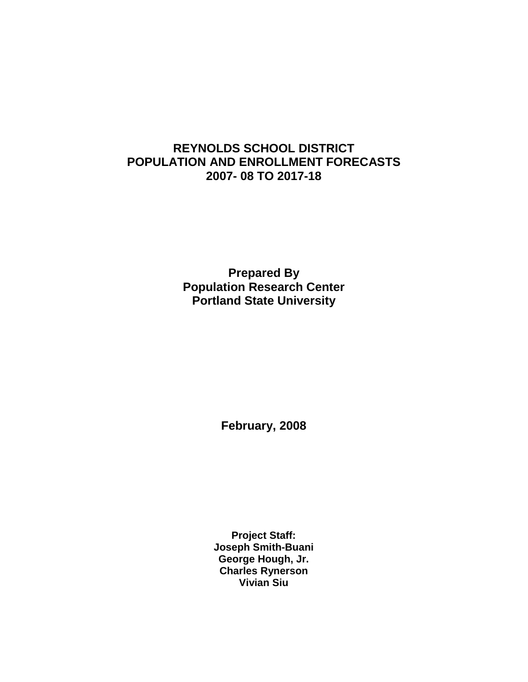## **REYNOLDS SCHOOL DISTRICT POPULATION AND ENROLLMENT FORECASTS 2007- 08 TO 2017-18**

**Prepared By Population Research Center Portland State University** 

**February, 2008** 

**Project Staff: Joseph Smith-Buani George Hough, Jr. Charles Rynerson Vivian Siu**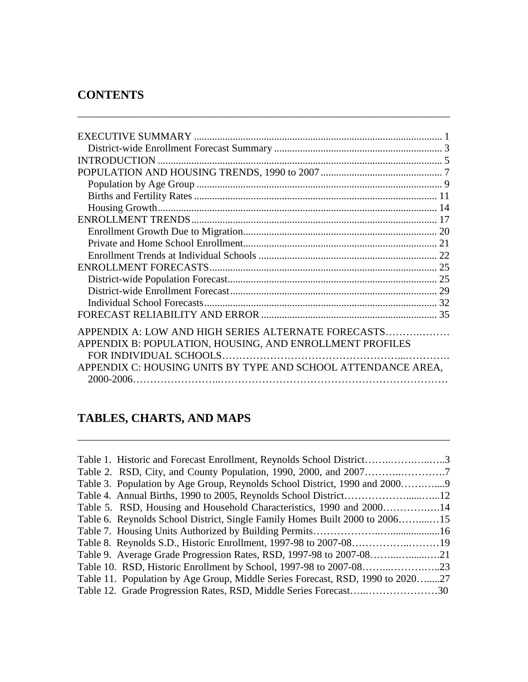# **CONTENTS**

| <b>INTRODUCTION</b>                                           |    |
|---------------------------------------------------------------|----|
|                                                               |    |
|                                                               |    |
|                                                               |    |
|                                                               |    |
|                                                               |    |
|                                                               |    |
|                                                               | 20 |
|                                                               |    |
|                                                               |    |
|                                                               |    |
|                                                               |    |
|                                                               |    |
|                                                               | 32 |
|                                                               |    |
| APPENDIX A: LOW AND HIGH SERIES ALTERNATE FORECASTS           |    |
| APPENDIX B: POPULATION, HOUSING, AND ENROLLMENT PROFILES      |    |
|                                                               |    |
|                                                               |    |
| APPENDIX C: HOUSING UNITS BY TYPE AND SCHOOL ATTENDANCE AREA, |    |
|                                                               |    |

\_\_\_\_\_\_\_\_\_\_\_\_\_\_\_\_\_\_\_\_\_\_\_\_\_\_\_\_\_\_\_\_\_\_\_\_\_\_\_\_\_\_\_\_\_\_\_\_\_\_\_\_\_\_\_\_\_\_\_\_\_\_\_\_\_\_\_\_\_\_\_\_

# **TABLES, CHARTS, AND MAPS**

| Table 1. Historic and Forecast Enrollment, Reynolds School District3           |  |
|--------------------------------------------------------------------------------|--|
|                                                                                |  |
| Table 3. Population by Age Group, Reynolds School District, 1990 and 2000      |  |
|                                                                                |  |
| Table 5. RSD, Housing and Household Characteristics, 1990 and 200014           |  |
| Table 6. Reynolds School District, Single Family Homes Built 2000 to 200615    |  |
|                                                                                |  |
| Table 8. Reynolds S.D., Historic Enrollment, 1997-98 to 2007-0819              |  |
|                                                                                |  |
|                                                                                |  |
| Table 11. Population by Age Group, Middle Series Forecast, RSD, 1990 to 202027 |  |
|                                                                                |  |

\_\_\_\_\_\_\_\_\_\_\_\_\_\_\_\_\_\_\_\_\_\_\_\_\_\_\_\_\_\_\_\_\_\_\_\_\_\_\_\_\_\_\_\_\_\_\_\_\_\_\_\_\_\_\_\_\_\_\_\_\_\_\_\_\_\_\_\_\_\_\_\_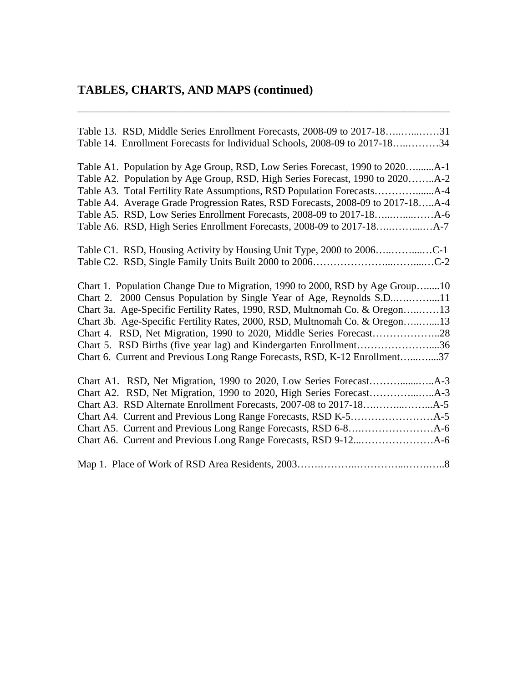# **TABLES, CHARTS, AND MAPS (continued)**

| Table 13. RSD, Middle Series Enrollment Forecasts, 2008-09 to 2017-1831<br>Table 14. Enrollment Forecasts for Individual Schools, 2008-09 to 2017-1834        |
|---------------------------------------------------------------------------------------------------------------------------------------------------------------|
| Table A1. Population by Age Group, RSD, Low Series Forecast, 1990 to 2020A-1<br>Table A2. Population by Age Group, RSD, High Series Forecast, 1990 to 2020A-2 |
|                                                                                                                                                               |
| Table A4. Average Grade Progression Rates, RSD Forecasts, 2008-09 to 2017-18A-4                                                                               |
|                                                                                                                                                               |
|                                                                                                                                                               |
|                                                                                                                                                               |
|                                                                                                                                                               |
| Chart 1. Population Change Due to Migration, 1990 to 2000, RSD by Age Group10                                                                                 |
| Chart 2. 2000 Census Population by Single Year of Age, Reynolds S.D11                                                                                         |
| Chart 3a. Age-Specific Fertility Rates, 1990, RSD, Multnomah Co. & Oregon13                                                                                   |
| Chart 3b. Age-Specific Fertility Rates, 2000, RSD, Multnomah Co. & Oregon13                                                                                   |
|                                                                                                                                                               |
| Chart 5. RSD Births (five year lag) and Kindergarten Enrollment36                                                                                             |
| Chart 6. Current and Previous Long Range Forecasts, RSD, K-12 Enrollment37                                                                                    |
|                                                                                                                                                               |
|                                                                                                                                                               |
|                                                                                                                                                               |
|                                                                                                                                                               |
|                                                                                                                                                               |
|                                                                                                                                                               |
|                                                                                                                                                               |

\_\_\_\_\_\_\_\_\_\_\_\_\_\_\_\_\_\_\_\_\_\_\_\_\_\_\_\_\_\_\_\_\_\_\_\_\_\_\_\_\_\_\_\_\_\_\_\_\_\_\_\_\_\_\_\_\_\_\_\_\_\_\_\_\_\_\_\_\_\_\_\_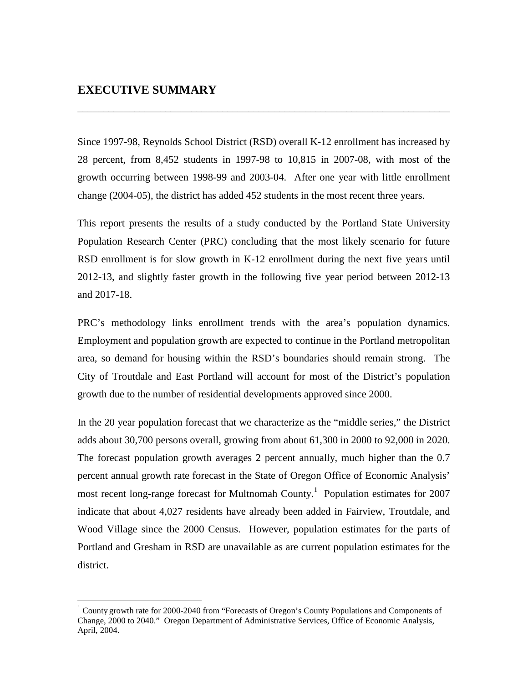### **EXECUTIVE SUMMARY**

<u>.</u>

Since 1997-98, Reynolds School District (RSD) overall K-12 enrollment has increased by 28 percent, from 8,452 students in 1997-98 to 10,815 in 2007-08, with most of the growth occurring between 1998-99 and 2003-04. After one year with little enrollment change (2004-05), the district has added 452 students in the most recent three years.

\_\_\_\_\_\_\_\_\_\_\_\_\_\_\_\_\_\_\_\_\_\_\_\_\_\_\_\_\_\_\_\_\_\_\_\_\_\_\_\_\_\_\_\_\_\_\_\_\_\_\_\_\_\_\_\_\_\_\_\_\_\_\_\_\_\_\_\_\_\_\_\_

This report presents the results of a study conducted by the Portland State University Population Research Center (PRC) concluding that the most likely scenario for future RSD enrollment is for slow growth in K-12 enrollment during the next five years until 2012-13, and slightly faster growth in the following five year period between 2012-13 and 2017-18.

PRC's methodology links enrollment trends with the area's population dynamics. Employment and population growth are expected to continue in the Portland metropolitan area, so demand for housing within the RSD's boundaries should remain strong. The City of Troutdale and East Portland will account for most of the District's population growth due to the number of residential developments approved since 2000.

In the 20 year population forecast that we characterize as the "middle series," the District adds about 30,700 persons overall, growing from about 61,300 in 2000 to 92,000 in 2020. The forecast population growth averages 2 percent annually, much higher than the 0.7 percent annual growth rate forecast in the State of Oregon Office of Economic Analysis' most recent long-range forecast for Multnomah County.<sup>1</sup> Population estimates for 2007 indicate that about 4,027 residents have already been added in Fairview, Troutdale, and Wood Village since the 2000 Census. However, population estimates for the parts of Portland and Gresham in RSD are unavailable as are current population estimates for the district.

<sup>&</sup>lt;sup>1</sup> County growth rate for 2000-2040 from "Forecasts of Oregon's County Populations and Components of Change, 2000 to 2040." Oregon Department of Administrative Services, Office of Economic Analysis, April, 2004.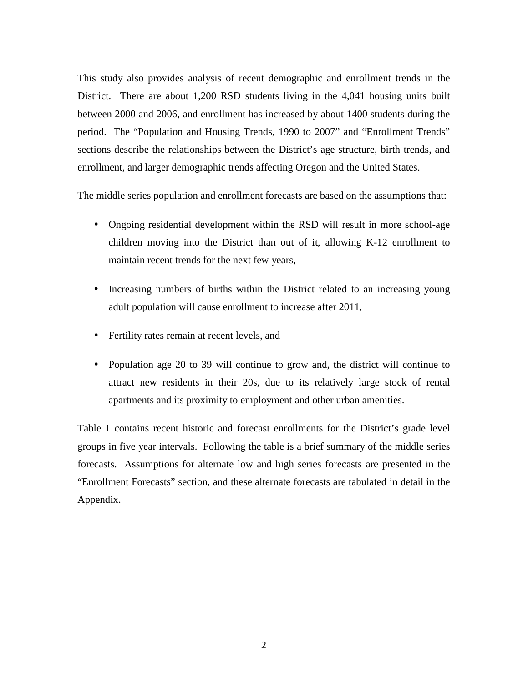This study also provides analysis of recent demographic and enrollment trends in the District. There are about 1,200 RSD students living in the 4,041 housing units built between 2000 and 2006, and enrollment has increased by about 1400 students during the period. The "Population and Housing Trends, 1990 to 2007" and "Enrollment Trends" sections describe the relationships between the District's age structure, birth trends, and enrollment, and larger demographic trends affecting Oregon and the United States.

The middle series population and enrollment forecasts are based on the assumptions that:

- Ongoing residential development within the RSD will result in more school-age children moving into the District than out of it, allowing K-12 enrollment to maintain recent trends for the next few years,
- Increasing numbers of births within the District related to an increasing young adult population will cause enrollment to increase after 2011,
- Fertility rates remain at recent levels, and
- Population age 20 to 39 will continue to grow and, the district will continue to attract new residents in their 20s, due to its relatively large stock of rental apartments and its proximity to employment and other urban amenities.

Table 1 contains recent historic and forecast enrollments for the District's grade level groups in five year intervals. Following the table is a brief summary of the middle series forecasts. Assumptions for alternate low and high series forecasts are presented in the "Enrollment Forecasts" section, and these alternate forecasts are tabulated in detail in the Appendix.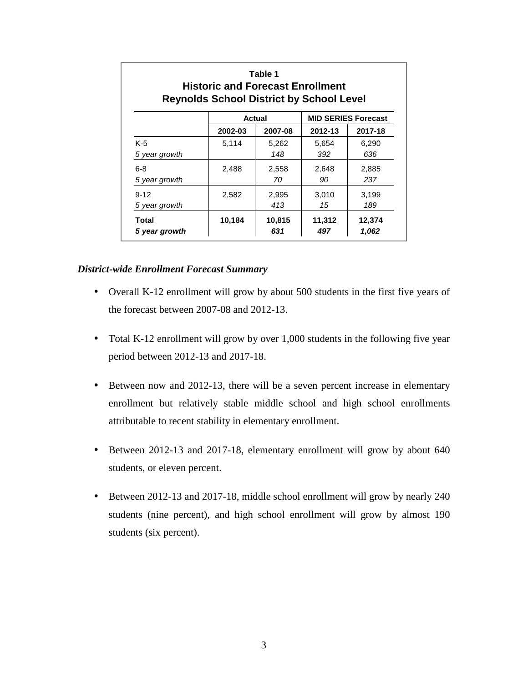| Table 1<br><b>Historic and Forecast Enrollment</b><br><b>Reynolds School District by School Level</b> |         |               |               |                            |  |  |  |  |  |
|-------------------------------------------------------------------------------------------------------|---------|---------------|---------------|----------------------------|--|--|--|--|--|
|                                                                                                       |         | Actual        |               | <b>MID SERIES Forecast</b> |  |  |  |  |  |
|                                                                                                       | 2002-03 | 2007-08       | 2012-13       | 2017-18                    |  |  |  |  |  |
| $K-5$                                                                                                 | 5,114   | 5,262         | 5,654         | 6,290                      |  |  |  |  |  |
| 5 year growth                                                                                         |         | 148           | 392           | 636                        |  |  |  |  |  |
| $6 - 8$                                                                                               | 2,488   | 2,558         | 2,648         | 2,885                      |  |  |  |  |  |
| 5 year growth                                                                                         |         | 70            | 90            | 237                        |  |  |  |  |  |
| $9 - 12$                                                                                              | 2,582   | 2,995         | 3.010         | 3.199                      |  |  |  |  |  |
| 5 year growth                                                                                         |         | 413           | 15            | 189                        |  |  |  |  |  |
| Total<br>5 year growth                                                                                | 10,184  | 10,815<br>631 | 11,312<br>497 | 12,374<br>1,062            |  |  |  |  |  |

#### *District-wide Enrollment Forecast Summary*

- Overall K-12 enrollment will grow by about 500 students in the first five years of the forecast between 2007-08 and 2012-13.
- Total K-12 enrollment will grow by over 1,000 students in the following five year period between 2012-13 and 2017-18.
- Between now and 2012-13, there will be a seven percent increase in elementary enrollment but relatively stable middle school and high school enrollments attributable to recent stability in elementary enrollment.
- Between 2012-13 and 2017-18, elementary enrollment will grow by about 640 students, or eleven percent.
- Between 2012-13 and 2017-18, middle school enrollment will grow by nearly 240 students (nine percent), and high school enrollment will grow by almost 190 students (six percent).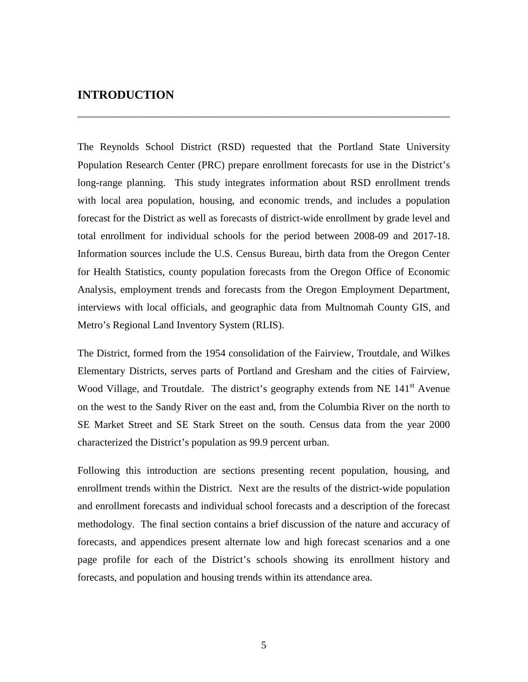### **INTRODUCTION**

The Reynolds School District (RSD) requested that the Portland State University Population Research Center (PRC) prepare enrollment forecasts for use in the District's long-range planning. This study integrates information about RSD enrollment trends with local area population, housing, and economic trends, and includes a population forecast for the District as well as forecasts of district-wide enrollment by grade level and total enrollment for individual schools for the period between 2008-09 and 2017-18. Information sources include the U.S. Census Bureau, birth data from the Oregon Center for Health Statistics, county population forecasts from the Oregon Office of Economic Analysis, employment trends and forecasts from the Oregon Employment Department, interviews with local officials, and geographic data from Multnomah County GIS, and Metro's Regional Land Inventory System (RLIS).

\_\_\_\_\_\_\_\_\_\_\_\_\_\_\_\_\_\_\_\_\_\_\_\_\_\_\_\_\_\_\_\_\_\_\_\_\_\_\_\_\_\_\_\_\_\_\_\_\_\_\_\_\_\_\_\_\_\_\_\_\_\_\_\_\_\_\_\_\_\_\_\_

The District, formed from the 1954 consolidation of the Fairview, Troutdale, and Wilkes Elementary Districts, serves parts of Portland and Gresham and the cities of Fairview, Wood Village, and Troutdale. The district's geography extends from NE  $141<sup>st</sup>$  Avenue on the west to the Sandy River on the east and, from the Columbia River on the north to SE Market Street and SE Stark Street on the south. Census data from the year 2000 characterized the District's population as 99.9 percent urban.

Following this introduction are sections presenting recent population, housing, and enrollment trends within the District. Next are the results of the district-wide population and enrollment forecasts and individual school forecasts and a description of the forecast methodology. The final section contains a brief discussion of the nature and accuracy of forecasts, and appendices present alternate low and high forecast scenarios and a one page profile for each of the District's schools showing its enrollment history and forecasts, and population and housing trends within its attendance area.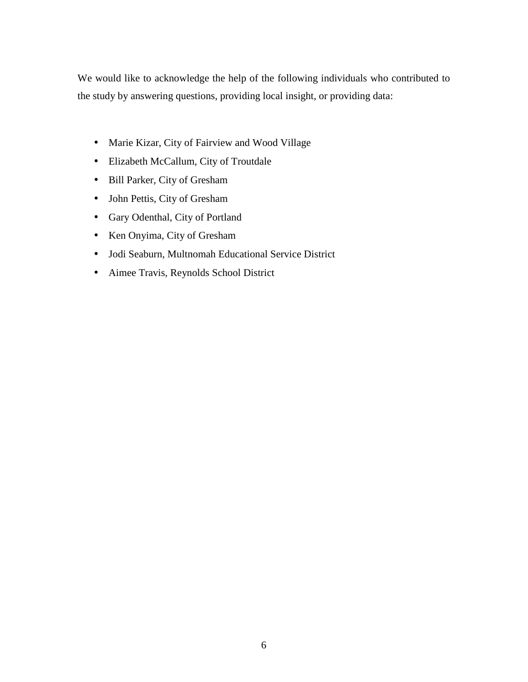We would like to acknowledge the help of the following individuals who contributed to the study by answering questions, providing local insight, or providing data:

- Marie Kizar, City of Fairview and Wood Village
- Elizabeth McCallum, City of Troutdale
- Bill Parker, City of Gresham
- John Pettis, City of Gresham
- Gary Odenthal, City of Portland
- Ken Onyima, City of Gresham
- Jodi Seaburn, Multnomah Educational Service District
- Aimee Travis, Reynolds School District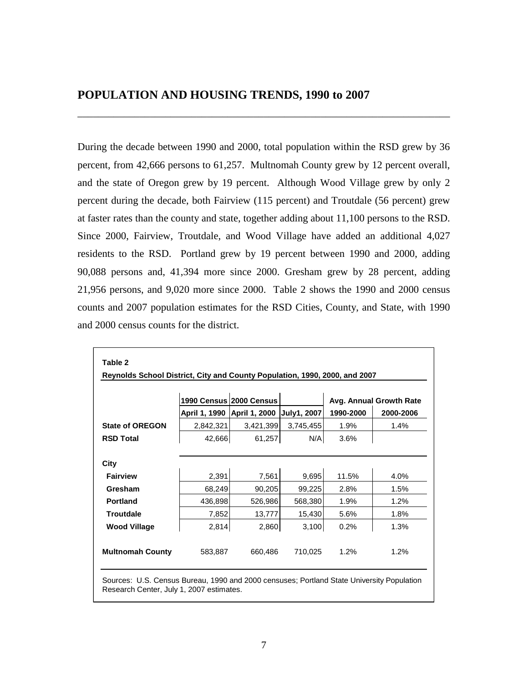During the decade between 1990 and 2000, total population within the RSD grew by 36 percent, from 42,666 persons to 61,257. Multnomah County grew by 12 percent overall, and the state of Oregon grew by 19 percent. Although Wood Village grew by only 2 percent during the decade, both Fairview (115 percent) and Troutdale (56 percent) grew at faster rates than the county and state, together adding about 11,100 persons to the RSD. Since 2000, Fairview, Troutdale, and Wood Village have added an additional 4,027 residents to the RSD. Portland grew by 19 percent between 1990 and 2000, adding 90,088 persons and, 41,394 more since 2000. Gresham grew by 28 percent, adding 21,956 persons, and 9,020 more since 2000. Table 2 shows the 1990 and 2000 census counts and 2007 population estimates for the RSD Cities, County, and State, with 1990 and 2000 census counts for the district.

\_\_\_\_\_\_\_\_\_\_\_\_\_\_\_\_\_\_\_\_\_\_\_\_\_\_\_\_\_\_\_\_\_\_\_\_\_\_\_\_\_\_\_\_\_\_\_\_\_\_\_\_\_\_\_\_\_\_\_\_\_\_\_\_\_\_\_\_\_\_\_\_

|                         |           | 1990 Census 2000 Census<br>April 1, 1990 April 1, 2000 July1, 2007 |           | 1990-2000 | Avg. Annual Growth Rate<br>2000-2006 |
|-------------------------|-----------|--------------------------------------------------------------------|-----------|-----------|--------------------------------------|
| <b>State of OREGON</b>  | 2,842,321 | 3,421,399                                                          | 3,745,455 | 1.9%      | 1.4%                                 |
| <b>RSD Total</b>        | 42,666    | 61,257                                                             | N/A       | 3.6%      |                                      |
| City                    |           |                                                                    |           |           |                                      |
| <b>Fairview</b>         | 2,391     | 7,561                                                              | 9,695     | 11.5%     | 4.0%                                 |
| Gresham                 | 68,249    | 90,205                                                             | 99,225    | 2.8%      | 1.5%                                 |
| <b>Portland</b>         | 436,898   | 526,986                                                            | 568,380   | 1.9%      | 1.2%                                 |
| <b>Troutdale</b>        | 7,852     | 13,777                                                             | 15,430    | 5.6%      | 1.8%                                 |
| <b>Wood Village</b>     | 2,814     | 2,860                                                              | 3,100     | 0.2%      | 1.3%                                 |
| <b>Multnomah County</b> | 583.887   | 660.486                                                            | 710,025   | 1.2%      | 1.2%                                 |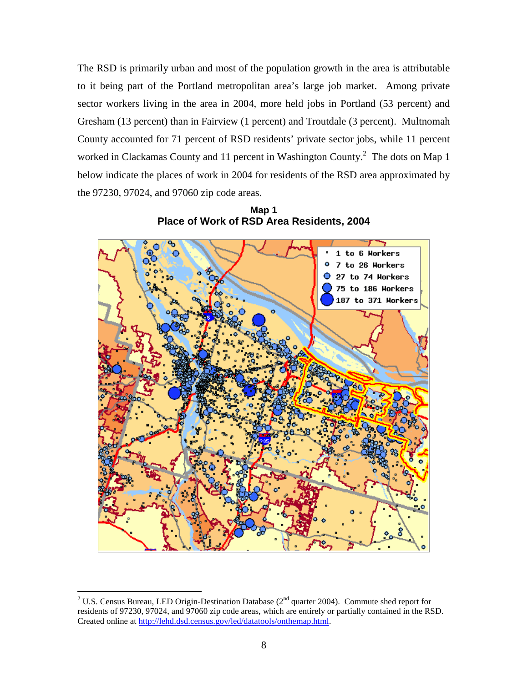The RSD is primarily urban and most of the population growth in the area is attributable to it being part of the Portland metropolitan area's large job market. Among private sector workers living in the area in 2004, more held jobs in Portland (53 percent) and Gresham (13 percent) than in Fairview (1 percent) and Troutdale (3 percent). Multnomah County accounted for 71 percent of RSD residents' private sector jobs, while 11 percent worked in Clackamas County and 11 percent in Washington County.<sup>2</sup> The dots on Map 1 below indicate the places of work in 2004 for residents of the RSD area approximated by the 97230, 97024, and 97060 zip code areas.



**Map 1 Place of Work of RSD Area Residents, 2004** 

<u>.</u>

<sup>&</sup>lt;sup>2</sup> U.S. Census Bureau, LED Origin-Destination Database ( $2<sup>nd</sup>$  quarter 2004). Commute shed report for residents of 97230, 97024, and 97060 zip code areas, which are entirely or partially contained in the RSD. Created online at http://lehd.dsd.census.gov/led/datatools/onthemap.html.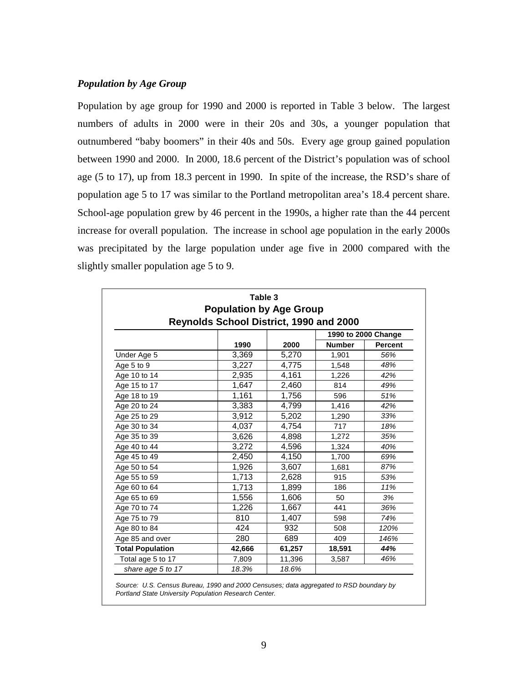#### *Population by Age Group*

Population by age group for 1990 and 2000 is reported in Table 3 below. The largest numbers of adults in 2000 were in their 20s and 30s, a younger population that outnumbered "baby boomers" in their 40s and 50s. Every age group gained population between 1990 and 2000. In 2000, 18.6 percent of the District's population was of school age (5 to 17), up from 18.3 percent in 1990. In spite of the increase, the RSD's share of population age 5 to 17 was similar to the Portland metropolitan area's 18.4 percent share. School-age population grew by 46 percent in the 1990s, a higher rate than the 44 percent increase for overall population. The increase in school age population in the early 2000s was precipitated by the large population under age five in 2000 compared with the slightly smaller population age 5 to 9.

|                         | Table 3                                        |        |               |                     |
|-------------------------|------------------------------------------------|--------|---------------|---------------------|
|                         | <b>Population by Age Group</b>                 |        |               |                     |
|                         | <b>Reynolds School District, 1990 and 2000</b> |        |               |                     |
|                         |                                                |        |               | 1990 to 2000 Change |
|                         | 1990                                           | 2000   | <b>Number</b> | <b>Percent</b>      |
| Under Age 5             | 3,369                                          | 5,270  | 1,901         | 56%                 |
| Age 5 to 9              | 3,227                                          | 4,775  | 1,548         | 48%                 |
| Age 10 to 14            | 2,935                                          | 4,161  | 1,226         | 42%                 |
| Age 15 to 17            | 1,647                                          | 2,460  | 814           | 49%                 |
| Age 18 to 19            | 1,161                                          | 1,756  | 596           | 51%                 |
| Age 20 to 24            | 3,383                                          | 4,799  | 1,416         | 42%                 |
| Age 25 to 29            | 3,912                                          | 5,202  | 1,290         | 33%                 |
| Age 30 to 34            | 4,037                                          | 4,754  | 717           | 18%                 |
| Age 35 to 39            | 3,626                                          | 4,898  | 1,272         | 35%                 |
| Age 40 to 44            | 3,272                                          | 4,596  | 1,324         | 40%                 |
| Age 45 to 49            | 2,450                                          | 4,150  | 1,700         | 69%                 |
| Age 50 to 54            | 1,926                                          | 3,607  | 1,681         | 87%                 |
| Age 55 to 59            | 1,713                                          | 2,628  | 915           | 53%                 |
| Age 60 to 64            | 1,713                                          | 1,899  | 186           | 11%                 |
| Age 65 to 69            | 1,556                                          | 1,606  | 50            | 3%                  |
| Age 70 to 74            | 1,226                                          | 1,667  | 441           | 36%                 |
| Age 75 to 79            | 810                                            | 1,407  | 598           | 74%                 |
| Age 80 to 84            | 424                                            | 932    | 508           | 120%                |
| Age 85 and over         | 280                                            | 689    | 409           | 146%                |
| <b>Total Population</b> | 42,666                                         | 61,257 | 18,591        | 44%                 |
| Total age 5 to 17       | 7,809                                          | 11,396 | 3,587         | 46%                 |
| share age 5 to 17       | 18.3%                                          | 18.6%  |               |                     |

Source: U.S. Census Bureau, 1990 and 2000 Censuses; data aggregated to RSD boundary by Portland State University Population Research Center.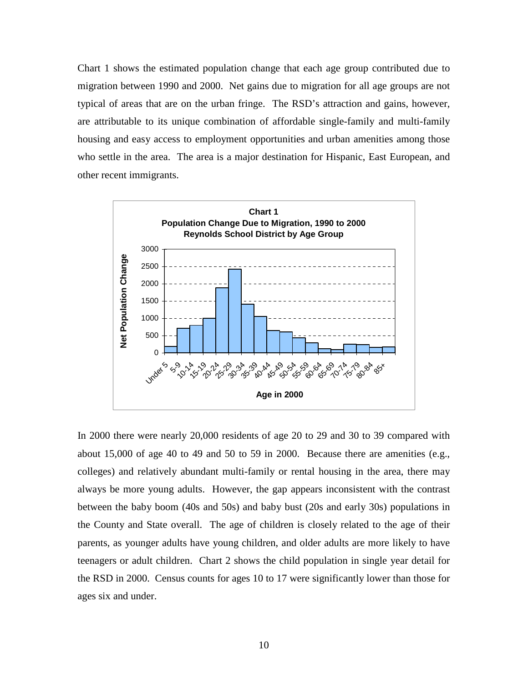Chart 1 shows the estimated population change that each age group contributed due to migration between 1990 and 2000. Net gains due to migration for all age groups are not typical of areas that are on the urban fringe. The RSD's attraction and gains, however, are attributable to its unique combination of affordable single-family and multi-family housing and easy access to employment opportunities and urban amenities among those who settle in the area. The area is a major destination for Hispanic, East European, and other recent immigrants.



In 2000 there were nearly 20,000 residents of age 20 to 29 and 30 to 39 compared with about 15,000 of age 40 to 49 and 50 to 59 in 2000. Because there are amenities (e.g., colleges) and relatively abundant multi-family or rental housing in the area, there may always be more young adults. However, the gap appears inconsistent with the contrast between the baby boom (40s and 50s) and baby bust (20s and early 30s) populations in the County and State overall. The age of children is closely related to the age of their parents, as younger adults have young children, and older adults are more likely to have teenagers or adult children. Chart 2 shows the child population in single year detail for the RSD in 2000. Census counts for ages 10 to 17 were significantly lower than those for ages six and under.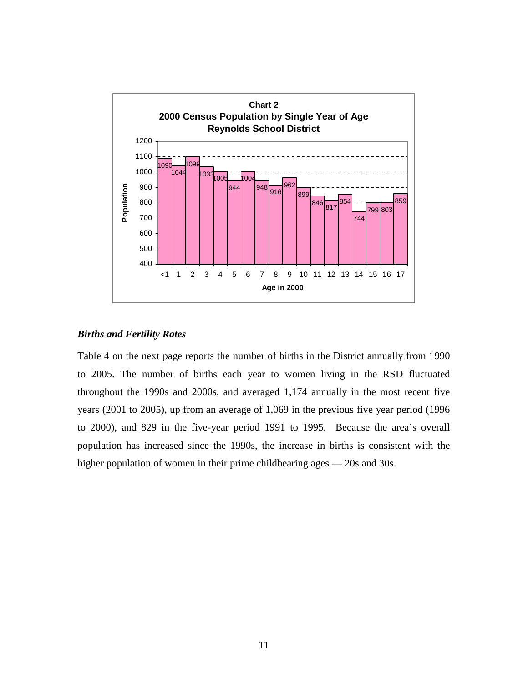

#### *Births and Fertility Rates*

Table 4 on the next page reports the number of births in the District annually from 1990 to 2005. The number of births each year to women living in the RSD fluctuated throughout the 1990s and 2000s, and averaged 1,174 annually in the most recent five years (2001 to 2005), up from an average of 1,069 in the previous five year period (1996 to 2000), and 829 in the five-year period 1991 to 1995. Because the area's overall population has increased since the 1990s, the increase in births is consistent with the higher population of women in their prime childbearing ages — 20s and 30s.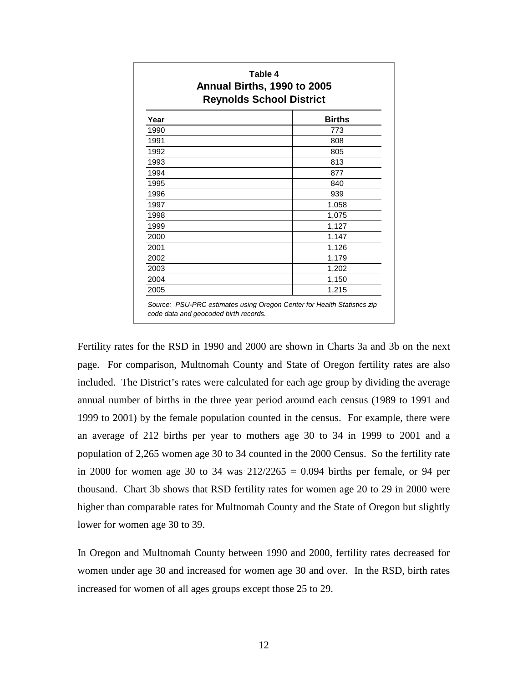| Table 4<br>Annual Births, 1990 to 2005<br><b>Reynolds School District</b> |               |  |  |  |
|---------------------------------------------------------------------------|---------------|--|--|--|
| Year                                                                      | <b>Births</b> |  |  |  |
| 1990                                                                      | 773           |  |  |  |
| 1991                                                                      | 808           |  |  |  |
| 1992                                                                      | 805           |  |  |  |
| 1993                                                                      | 813           |  |  |  |
| 1994                                                                      | 877           |  |  |  |
| 1995                                                                      | 840           |  |  |  |
| 1996                                                                      | 939           |  |  |  |
| 1997                                                                      | 1,058         |  |  |  |
| 1998                                                                      | 1,075         |  |  |  |
| 1999                                                                      | 1,127         |  |  |  |
| 2000                                                                      | 1,147         |  |  |  |
| 2001                                                                      | 1,126         |  |  |  |
| 2002                                                                      | 1,179         |  |  |  |
| 2003                                                                      | 1,202         |  |  |  |
| 2004                                                                      | 1,150         |  |  |  |
| 2005                                                                      | 1,215         |  |  |  |

Fertility rates for the RSD in 1990 and 2000 are shown in Charts 3a and 3b on the next page. For comparison, Multnomah County and State of Oregon fertility rates are also included. The District's rates were calculated for each age group by dividing the average annual number of births in the three year period around each census (1989 to 1991 and 1999 to 2001) by the female population counted in the census. For example, there were an average of 212 births per year to mothers age 30 to 34 in 1999 to 2001 and a population of 2,265 women age 30 to 34 counted in the 2000 Census. So the fertility rate in 2000 for women age 30 to 34 was  $212/2265 = 0.094$  births per female, or 94 per thousand. Chart 3b shows that RSD fertility rates for women age 20 to 29 in 2000 were higher than comparable rates for Multnomah County and the State of Oregon but slightly lower for women age 30 to 39.

In Oregon and Multnomah County between 1990 and 2000, fertility rates decreased for women under age 30 and increased for women age 30 and over. In the RSD, birth rates increased for women of all ages groups except those 25 to 29.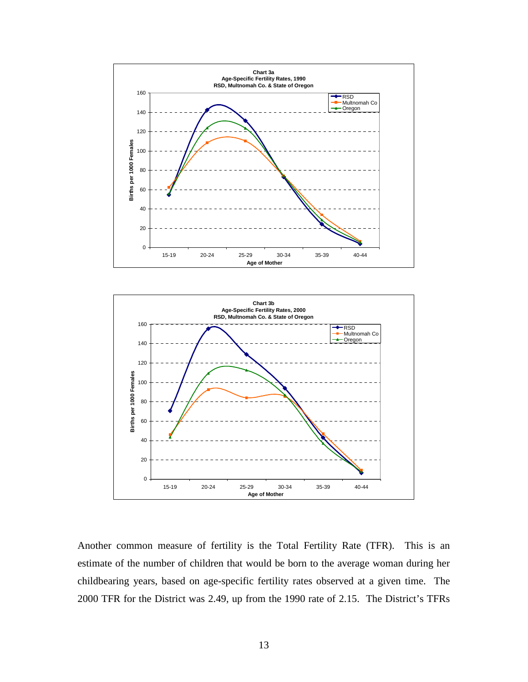



Another common measure of fertility is the Total Fertility Rate (TFR). This is an estimate of the number of children that would be born to the average woman during her childbearing years, based on age-specific fertility rates observed at a given time. The 2000 TFR for the District was 2.49, up from the 1990 rate of 2.15. The District's TFRs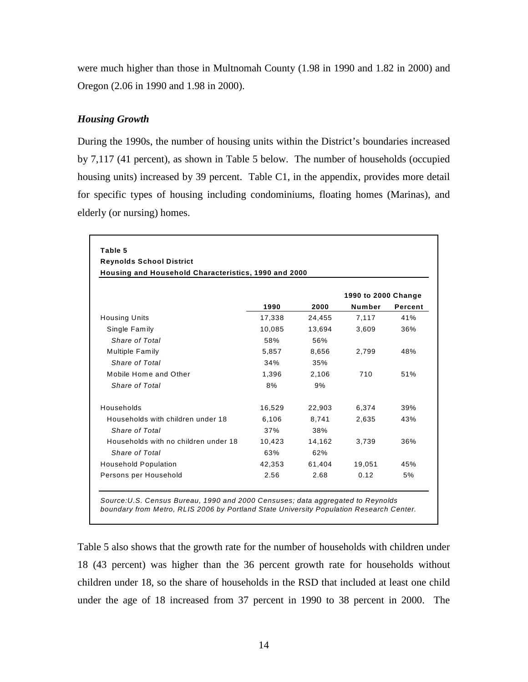were much higher than those in Multnomah County (1.98 in 1990 and 1.82 in 2000) and Oregon (2.06 in 1990 and 1.98 in 2000).

### *Housing Growth*

During the 1990s, the number of housing units within the District's boundaries increased by 7,117 (41 percent), as shown in Table 5 below. The number of households (occupied housing units) increased by 39 percent. Table C1, in the appendix, provides more detail for specific types of housing including condominiums, floating homes (Marinas), and elderly (or nursing) homes.

| Table 5                                              |        |        |                     |         |
|------------------------------------------------------|--------|--------|---------------------|---------|
| <b>Reynolds School District</b>                      |        |        |                     |         |
| Housing and Household Characteristics, 1990 and 2000 |        |        |                     |         |
|                                                      |        |        | 1990 to 2000 Change |         |
|                                                      | 1990   | 2000   | Number              | Percent |
| <b>Housing Units</b>                                 | 17,338 | 24,455 | 7,117               | 41%     |
| Single Family                                        | 10,085 | 13.694 | 3,609               | 36%     |
| Share of Total                                       | 58%    | 56%    |                     |         |
| Multiple Family                                      | 5,857  | 8,656  | 2,799               | 48%     |
| Share of Total                                       | 34%    | 35%    |                     |         |
| Mobile Home and Other                                | 1,396  | 2,106  | 710                 | 51%     |
| Share of Total                                       | 8%     | 9%     |                     |         |
| Households                                           | 16,529 | 22,903 | 6,374               | 39%     |
| Households with children under 18                    | 6,106  | 8,741  | 2,635               | 43%     |
| Share of Total                                       | 37%    | 38%    |                     |         |
| Households with no children under 18                 | 10,423 | 14,162 | 3,739               | 36%     |
| Share of Total                                       | 63%    | 62%    |                     |         |
| <b>Household Population</b>                          | 42,353 | 61,404 | 19,051              | 45%     |
| Persons per Household                                | 2.56   | 2.68   | 0.12                | 5%      |

boundary from Metro, RLIS 2006 by Portland State University Population Research Center.

Table 5 also shows that the growth rate for the number of households with children under 18 (43 percent) was higher than the 36 percent growth rate for households without children under 18, so the share of households in the RSD that included at least one child under the age of 18 increased from 37 percent in 1990 to 38 percent in 2000. The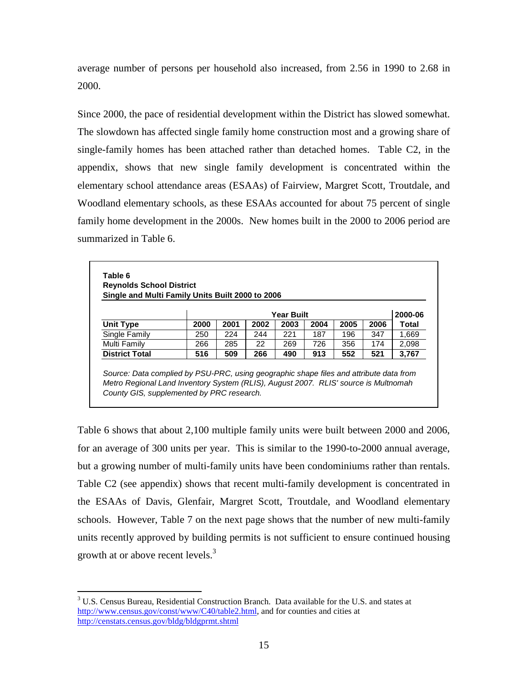average number of persons per household also increased, from 2.56 in 1990 to 2.68 in 2000.

Since 2000, the pace of residential development within the District has slowed somewhat. The slowdown has affected single family home construction most and a growing share of single-family homes has been attached rather than detached homes. Table C2, in the appendix, shows that new single family development is concentrated within the elementary school attendance areas (ESAAs) of Fairview, Margret Scott, Troutdale, and Woodland elementary schools, as these ESAAs accounted for about 75 percent of single family home development in the 2000s. New homes built in the 2000 to 2006 period are summarized in Table 6.

|                       |      |      |      | <b>Year Built</b> |      |      |      | 2000-06 |
|-----------------------|------|------|------|-------------------|------|------|------|---------|
| Unit Type             | 2000 | 2001 | 2002 | 2003              | 2004 | 2005 | 2006 | Total   |
| Single Family         | 250  | 224  | 244  | 221               | 187  | 196  | 347  | 1.669   |
| Multi Family          | 266  | 285  | 22   | 269               | 726  | 356  | 174  | 2.098   |
| <b>District Total</b> | 516  | 509  | 266  | 490               | 913  | 552  | 521  | 3,767   |

Table 6 shows that about 2,100 multiple family units were built between 2000 and 2006, for an average of 300 units per year. This is similar to the 1990-to-2000 annual average, but a growing number of multi-family units have been condominiums rather than rentals. Table C2 (see appendix) shows that recent multi-family development is concentrated in the ESAAs of Davis, Glenfair, Margret Scott, Troutdale, and Woodland elementary schools. However, Table 7 on the next page shows that the number of new multi-family units recently approved by building permits is not sufficient to ensure continued housing growth at or above recent levels.<sup>3</sup>

<sup>&</sup>lt;u>.</u> <sup>3</sup> U.S. Census Bureau, Residential Construction Branch. Data available for the U.S. and states at http://www.census.gov/const/www/C40/table2.html, and for counties and cities at http://censtats.census.gov/bldg/bldgprmt.shtml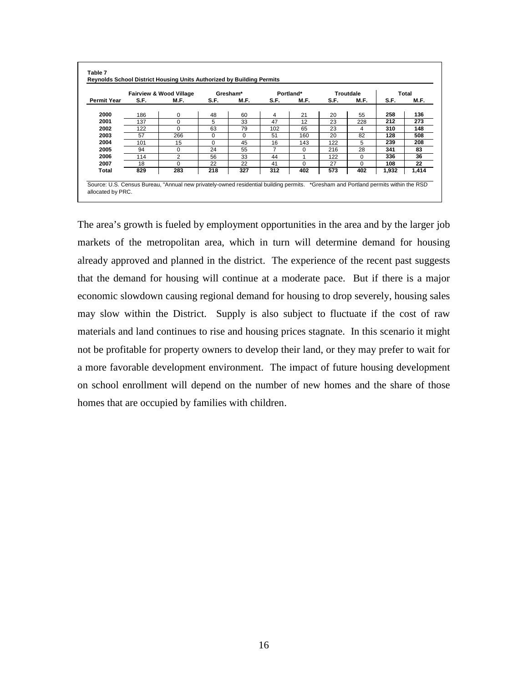|                    |      | <b>Fairview &amp; Wood Village</b> |          | Gresham* |      | Portland* |      | <b>Troutdale</b> |       | Total |
|--------------------|------|------------------------------------|----------|----------|------|-----------|------|------------------|-------|-------|
| <b>Permit Year</b> | S.F. | M.F.                               | S.F.     | M.F.     | S.F. | M.F.      | S.F. | M.F.             | S.F.  | M.F.  |
| 2000               | 186  | 0                                  | 48       | 60       | 4    | 21        | 20   | 55               | 258   | 136   |
| 2001               | 137  | $\Omega$                           | 5        | 33       | 47   | 12        | 23   | 228              | 212   | 273   |
| 2002               | 122  | $\Omega$                           | 63       | 79       | 102  | 65        | 23   | 4                | 310   | 148   |
| 2003               | 57   | 266                                | $\Omega$ | $\Omega$ | 51   | 160       | 20   | 82               | 128   | 508   |
| 2004               | 101  | 15                                 | $\Omega$ | 45       | 16   | 143       | 122  | 5                | 239   | 208   |
| 2005               | 94   | $\Omega$                           | 24       | 55       | 7    | $\Omega$  | 216  | 28               | 341   | 83    |
| 2006               | 114  | 2                                  | 56       | 33       | 44   |           | 122  | 0                | 336   | 36    |
| 2007               | 18   | $\Omega$                           | 22       | 22       | 41   | $\Omega$  | 27   | 0                | 108   | 22    |
| Total              | 829  | 283                                | 218      | 327      | 312  | 402       | 573  | 402              | 1,932 | 1,414 |

The area's growth is fueled by employment opportunities in the area and by the larger job markets of the metropolitan area, which in turn will determine demand for housing already approved and planned in the district. The experience of the recent past suggests that the demand for housing will continue at a moderate pace. But if there is a major economic slowdown causing regional demand for housing to drop severely, housing sales may slow within the District. Supply is also subject to fluctuate if the cost of raw materials and land continues to rise and housing prices stagnate. In this scenario it might not be profitable for property owners to develop their land, or they may prefer to wait for a more favorable development environment. The impact of future housing development on school enrollment will depend on the number of new homes and the share of those homes that are occupied by families with children.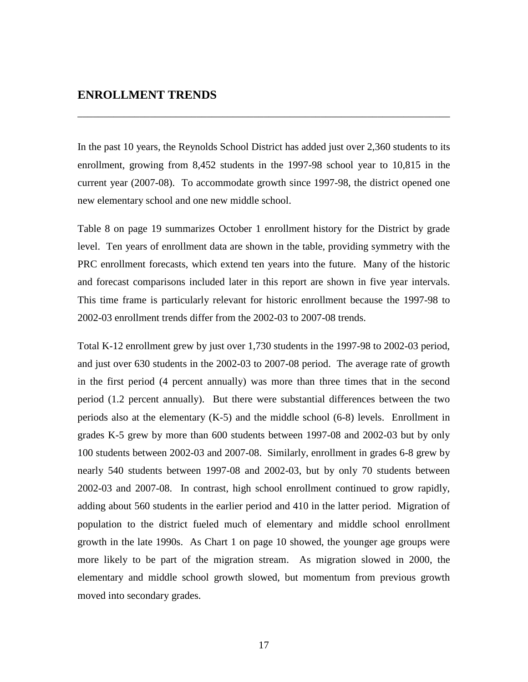### **ENROLLMENT TRENDS**

In the past 10 years, the Reynolds School District has added just over 2,360 students to its enrollment, growing from 8,452 students in the 1997-98 school year to 10,815 in the current year (2007-08). To accommodate growth since 1997-98, the district opened one new elementary school and one new middle school.

\_\_\_\_\_\_\_\_\_\_\_\_\_\_\_\_\_\_\_\_\_\_\_\_\_\_\_\_\_\_\_\_\_\_\_\_\_\_\_\_\_\_\_\_\_\_\_\_\_\_\_\_\_\_\_\_\_\_\_\_\_\_\_\_\_\_\_\_\_\_\_\_

Table 8 on page 19 summarizes October 1 enrollment history for the District by grade level. Ten years of enrollment data are shown in the table, providing symmetry with the PRC enrollment forecasts, which extend ten years into the future. Many of the historic and forecast comparisons included later in this report are shown in five year intervals. This time frame is particularly relevant for historic enrollment because the 1997-98 to 2002-03 enrollment trends differ from the 2002-03 to 2007-08 trends.

Total K-12 enrollment grew by just over 1,730 students in the 1997-98 to 2002-03 period, and just over 630 students in the 2002-03 to 2007-08 period. The average rate of growth in the first period (4 percent annually) was more than three times that in the second period (1.2 percent annually). But there were substantial differences between the two periods also at the elementary (K-5) and the middle school (6-8) levels. Enrollment in grades K-5 grew by more than 600 students between 1997-08 and 2002-03 but by only 100 students between 2002-03 and 2007-08. Similarly, enrollment in grades 6-8 grew by nearly 540 students between 1997-08 and 2002-03, but by only 70 students between 2002-03 and 2007-08. In contrast, high school enrollment continued to grow rapidly, adding about 560 students in the earlier period and 410 in the latter period. Migration of population to the district fueled much of elementary and middle school enrollment growth in the late 1990s. As Chart 1 on page 10 showed, the younger age groups were more likely to be part of the migration stream. As migration slowed in 2000, the elementary and middle school growth slowed, but momentum from previous growth moved into secondary grades.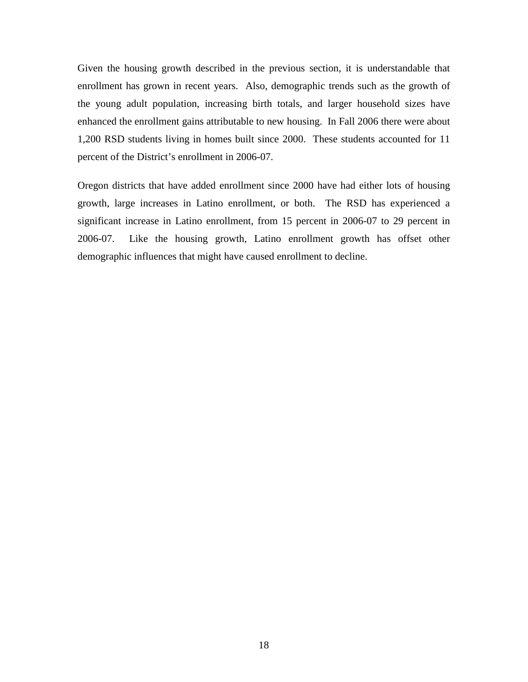Given the housing growth described in the previous section, it is understandable that enrollment has grown in recent years. Also, demographic trends such as the growth of the young adult population, increasing birth totals, and larger household sizes have enhanced the enrollment gains attributable to new housing. In Fall 2006 there were about 1,200 RSD students living in homes built since 2000. These students accounted for 11 percent of the District's enrollment in 2006-07.

Oregon districts that have added enrollment since 2000 have had either lots of housing growth, large increases in Latino enrollment, or both. The RSD has experienced a significant increase in Latino enrollment, from 15 percent in 2006-07 to 29 percent in 2006-07. Like the housing growth, Latino enrollment growth has offset other demographic influences that might have caused enrollment to decline.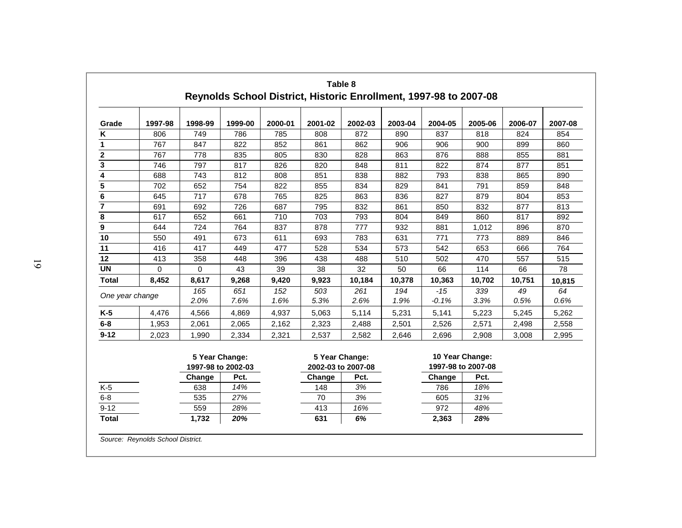| Grade                   | 1997-98  | 1998-99  | 1999-00            | 2000-01 | 2001-02 | 2002-03            | 2003-04 | 2004-05 | 2005-06            | 2006-07 | 2007-08 |
|-------------------------|----------|----------|--------------------|---------|---------|--------------------|---------|---------|--------------------|---------|---------|
| K                       | 806      | 749      | 786                | 785     | 808     | 872                | 890     | 837     | 818                | 824     | 854     |
| 1                       | 767      | 847      | 822                | 852     | 861     | 862                | 906     | 906     | 900                | 899     | 860     |
| $\overline{2}$          | 767      | 778      | 835                | 805     | 830     | 828                | 863     | 876     | 888                | 855     | 881     |
| $\overline{\mathbf{3}}$ | 746      | 797      | 817                | 826     | 820     | 848                | 811     | 822     | 874                | 877     | 851     |
| $\overline{\bf{4}}$     | 688      | 743      | 812                | 808     | 851     | 838                | 882     | 793     | 838                | 865     | 890     |
| $\overline{5}$          | 702      | 652      | 754                | 822     | 855     | 834                | 829     | 841     | 791                | 859     | 848     |
| $\bf 6$                 | 645      | 717      | 678                | 765     | 825     | 863                | 836     | 827     | 879                | 804     | 853     |
| $\overline{\mathbf{z}}$ | 691      | 692      | 726                | 687     | 795     | 832                | 861     | 850     | 832                | 877     | 813     |
| 8                       | 617      | 652      | 661                | 710     | 703     | 793                | 804     | 849     | 860                | 817     | 892     |
| 9                       | 644      | 724      | 764                | 837     | 878     | 777                | 932     | 881     | 1,012              | 896     | 870     |
| 10                      | 550      | 491      | 673                | 611     | 693     | 783                | 631     | 771     | 773                | 889     | 846     |
| 11                      | 416      | 417      | 449                | 477     | 528     | 534                | 573     | 542     | 653                | 666     | 764     |
| 12                      | 413      | 358      | 448                | 396     | 438     | 488                | 510     | 502     | 470                | 557     | 515     |
| <b>UN</b>               | $\Omega$ | $\Omega$ | 43                 | 39      | 38      | 32                 | 50      | 66      | 114                | 66      | 78      |
| <b>Total</b>            | 8,452    | 8,617    | 9,268              | 9,420   | 9,923   | 10,184             | 10,378  | 10,363  | 10,702             | 10,751  | 10,815  |
| One year change         |          | 165      | 651                | 152     | 503     | 261                | 194     | $-15$   | 339                | 49      | 64      |
|                         |          | 2.0%     | 7.6%               | 1.6%    | 5.3%    | 2.6%               | 1.9%    | $-0.1%$ | 3.3%               | 0.5%    | 0.6%    |
| $K-5$                   | 4,476    | 4,566    | 4,869              | 4,937   | 5,063   | 5,114              | 5,231   | 5,141   | 5,223              | 5,245   | 5,262   |
| $6-8$                   | 1,953    | 2,061    | 2,065              | 2,162   | 2,323   | 2,488              | 2,501   | 2,526   | 2,571              | 2,498   | 2,558   |
| $9 - 12$                | 2,023    | 1,990    | 2,334              | 2,321   | 2,537   | 2,582              | 2,646   | 2,696   | 2,908              | 3,008   | 2,995   |
|                         |          |          | 5 Year Change:     |         |         | 5 Year Change:     |         |         | 10 Year Change:    |         |         |
|                         |          |          | 1997-98 to 2002-03 |         |         | 2002-03 to 2007-08 |         |         | 1997-98 to 2007-08 |         |         |
|                         |          | Change   | Pct.               |         | Change  | Pct.               |         | Change  | Pct.               |         |         |
| $K-5$                   |          | 638      | 14%                |         | 148     | 3%                 |         | 786     | 18%                |         |         |
| $6-8$                   |          | 535      | 27%                |         | 70      | 3%                 |         | 605     | 31%                |         |         |
| $9 - 12$                |          | 559      | 28%                |         | 413     | 16%                |         | 972     | 48%                |         |         |
| <b>Total</b>            |          | 1,732    | 20%                |         | 631     | 6%                 |         | 2,363   | 28%                |         |         |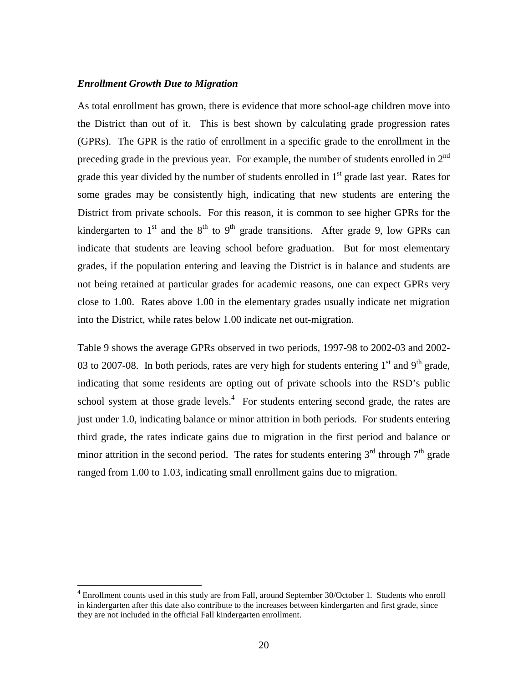#### *Enrollment Growth Due to Migration*

<u>.</u>

As total enrollment has grown, there is evidence that more school-age children move into the District than out of it. This is best shown by calculating grade progression rates (GPRs). The GPR is the ratio of enrollment in a specific grade to the enrollment in the preceding grade in the previous year. For example, the number of students enrolled in  $2<sup>nd</sup>$ grade this year divided by the number of students enrolled in  $1<sup>st</sup>$  grade last year. Rates for some grades may be consistently high, indicating that new students are entering the District from private schools. For this reason, it is common to see higher GPRs for the kindergarten to  $1<sup>st</sup>$  and the  $8<sup>th</sup>$  to  $9<sup>th</sup>$  grade transitions. After grade 9, low GPRs can indicate that students are leaving school before graduation. But for most elementary grades, if the population entering and leaving the District is in balance and students are not being retained at particular grades for academic reasons, one can expect GPRs very close to 1.00. Rates above 1.00 in the elementary grades usually indicate net migration into the District, while rates below 1.00 indicate net out-migration.

Table 9 shows the average GPRs observed in two periods, 1997-98 to 2002-03 and 2002- 03 to 2007-08. In both periods, rates are very high for students entering  $1<sup>st</sup>$  and 9<sup>th</sup> grade. indicating that some residents are opting out of private schools into the RSD's public school system at those grade levels. $4$  For students entering second grade, the rates are just under 1.0, indicating balance or minor attrition in both periods. For students entering third grade, the rates indicate gains due to migration in the first period and balance or minor attrition in the second period. The rates for students entering  $3<sup>rd</sup>$  through  $7<sup>th</sup>$  grade ranged from 1.00 to 1.03, indicating small enrollment gains due to migration.

<sup>&</sup>lt;sup>4</sup> Enrollment counts used in this study are from Fall, around September 30/October 1. Students who enroll in kindergarten after this date also contribute to the increases between kindergarten and first grade, since they are not included in the official Fall kindergarten enrollment.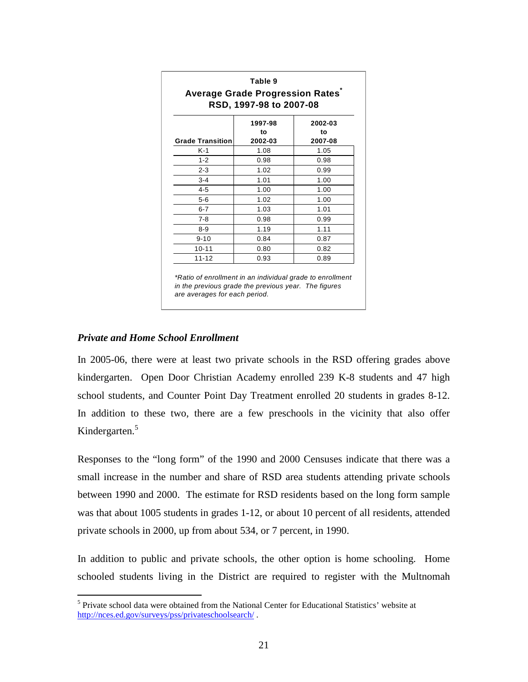| <b>Average Grade Progression Rates</b><br>RSD, 1997-98 to 2007-08 |                          |                          |  |  |  |  |  |
|-------------------------------------------------------------------|--------------------------|--------------------------|--|--|--|--|--|
| <b>Grade Transition</b>                                           | 1997-98<br>to<br>2002-03 | 2002-03<br>to<br>2007-08 |  |  |  |  |  |
| $K-1$                                                             | 1.08                     | 1.05                     |  |  |  |  |  |
| $1 - 2$                                                           | 0.98                     | 0.98                     |  |  |  |  |  |
| $2 - 3$                                                           | 1.02                     | 0.99                     |  |  |  |  |  |
| $3 - 4$                                                           | 1.01                     | 1.00                     |  |  |  |  |  |
| $4 - 5$                                                           | 1.00                     | 1.00                     |  |  |  |  |  |
| $5-6$                                                             | 1.02                     | 1.00                     |  |  |  |  |  |
| $6 - 7$                                                           | 1.03                     | 1.01                     |  |  |  |  |  |
| $7 - 8$                                                           | 0.98                     | 0.99                     |  |  |  |  |  |
| $8 - 9$                                                           | 1.19                     | 1.11                     |  |  |  |  |  |
| $9 - 10$                                                          | 0.84                     | 0.87                     |  |  |  |  |  |
| $10 - 11$                                                         | 0.80                     | 0.82                     |  |  |  |  |  |
| $11 - 12$                                                         | 0.93                     | 0.89                     |  |  |  |  |  |

in the previous grade the previous year. The figures are averages for each period.

#### *Private and Home School Enrollment*

In 2005-06, there were at least two private schools in the RSD offering grades above kindergarten. Open Door Christian Academy enrolled 239 K-8 students and 47 high school students, and Counter Point Day Treatment enrolled 20 students in grades 8-12. In addition to these two, there are a few preschools in the vicinity that also offer Kindergarten.<sup>5</sup>

Responses to the "long form" of the 1990 and 2000 Censuses indicate that there was a small increase in the number and share of RSD area students attending private schools between 1990 and 2000. The estimate for RSD residents based on the long form sample was that about 1005 students in grades 1-12, or about 10 percent of all residents, attended private schools in 2000, up from about 534, or 7 percent, in 1990.

In addition to public and private schools, the other option is home schooling. Home schooled students living in the District are required to register with the Multnomah

<sup>&</sup>lt;sup>5</sup> Private school data were obtained from the National Center for Educational Statistics' website at <sup>5</sup> http://nces.ed.gov/surveys/pss/privateschoolsearch/ .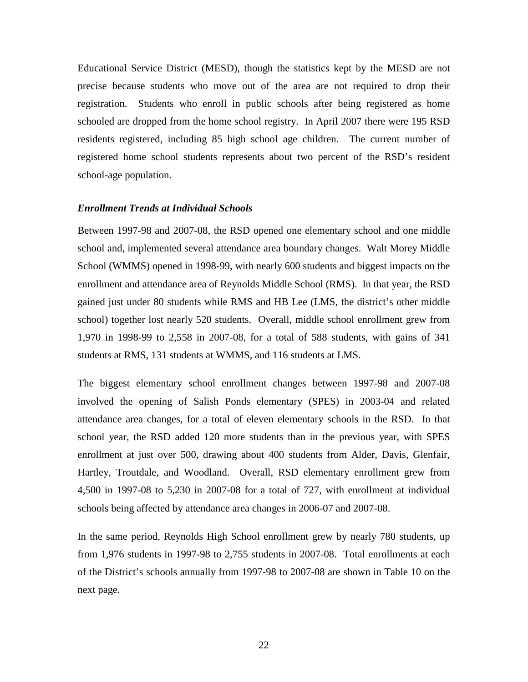Educational Service District (MESD), though the statistics kept by the MESD are not precise because students who move out of the area are not required to drop their registration. Students who enroll in public schools after being registered as home schooled are dropped from the home school registry. In April 2007 there were 195 RSD residents registered, including 85 high school age children. The current number of registered home school students represents about two percent of the RSD's resident school-age population.

#### *Enrollment Trends at Individual Schools*

Between 1997-98 and 2007-08, the RSD opened one elementary school and one middle school and, implemented several attendance area boundary changes. Walt Morey Middle School (WMMS) opened in 1998-99, with nearly 600 students and biggest impacts on the enrollment and attendance area of Reynolds Middle School (RMS). In that year, the RSD gained just under 80 students while RMS and HB Lee (LMS, the district's other middle school) together lost nearly 520 students. Overall, middle school enrollment grew from 1,970 in 1998-99 to 2,558 in 2007-08, for a total of 588 students, with gains of 341 students at RMS, 131 students at WMMS, and 116 students at LMS.

The biggest elementary school enrollment changes between 1997-98 and 2007-08 involved the opening of Salish Ponds elementary (SPES) in 2003-04 and related attendance area changes, for a total of eleven elementary schools in the RSD. In that school year, the RSD added 120 more students than in the previous year, with SPES enrollment at just over 500, drawing about 400 students from Alder, Davis, Glenfair, Hartley, Troutdale, and Woodland. Overall, RSD elementary enrollment grew from 4,500 in 1997-08 to 5,230 in 2007-08 for a total of 727, with enrollment at individual schools being affected by attendance area changes in 2006-07 and 2007-08.

In the same period, Reynolds High School enrollment grew by nearly 780 students, up from 1,976 students in 1997-98 to 2,755 students in 2007-08. Total enrollments at each of the District's schools annually from 1997-98 to 2007-08 are shown in Table 10 on the next page.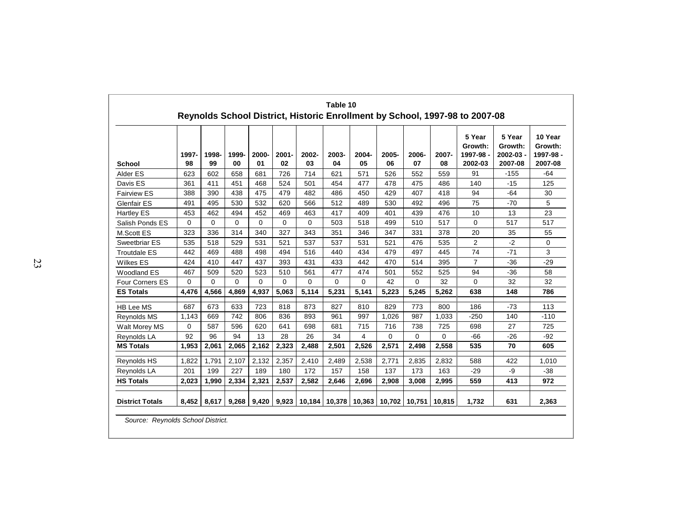| <b>School</b>          | 1997-<br>98 | 1998-<br>99 | 1999-<br>00 | 2000-<br>01 | $2001 -$<br>02 | 2002-<br>03 | 2003-<br>04 | 2004-<br>05 | 2005-<br>06 | 2006-<br>07 | 2007-<br>08 | 5 Year<br>Growth:<br>1997-98 -<br>2002-03 | 5 Year<br>Growth:<br>2002-03 -<br>2007-08 | 10 Year<br>Growth:<br>1997-98 -<br>2007-08 |
|------------------------|-------------|-------------|-------------|-------------|----------------|-------------|-------------|-------------|-------------|-------------|-------------|-------------------------------------------|-------------------------------------------|--------------------------------------------|
| Alder ES               | 623         | 602         | 658         | 681         | 726            | 714         | 621         | 571         | 526         | 552         | 559         | 91                                        | $-155$                                    | $-64$                                      |
| Davis ES               | 361         | 411         | 451         | 468         | 524            | 501         | 454         | 477         | 478         | 475         | 486         | 140                                       | $-15$                                     | 125                                        |
| <b>Fairview ES</b>     | 388         | 390         | 438         | 475         | 479            | 482         | 486         | 450         | 429         | 407         | 418         | 94                                        | $-64$                                     | 30                                         |
| <b>Glenfair ES</b>     | 491         | 495         | 530         | 532         | 620            | 566         | 512         | 489         | 530         | 492         | 496         | 75                                        | $-70$                                     | 5                                          |
| <b>Hartley ES</b>      | 453         | 462         | 494         | 452         | 469            | 463         | 417         | 409         | 401         | 439         | 476         | 10                                        | 13                                        | 23                                         |
| Salish Ponds ES        | $\Omega$    | $\Omega$    | $\Omega$    | $\Omega$    | $\Omega$       | $\Omega$    | 503         | 518         | 499         | 510         | 517         | $\Omega$                                  | 517                                       | 517                                        |
| M.Scott ES             | 323         | 336         | 314         | 340         | 327            | 343         | 351         | 346         | 347         | 331         | 378         | 20                                        | 35                                        | 55                                         |
| <b>Sweetbriar ES</b>   | 535         | 518         | 529         | 531         | 521            | 537         | 537         | 531         | 521         | 476         | 535         | 2                                         | $-2$                                      | $\Omega$                                   |
| <b>Troutdale ES</b>    | 442         | 469         | 488         | 498         | 494            | 516         | 440         | 434         | 479         | 497         | 445         | 74                                        | $-71$                                     | 3                                          |
| <b>Wilkes ES</b>       | 424         | 410         | 447         | 437         | 393            | 431         | 433         | 442         | 470         | 514         | 395         | $\overline{7}$                            | $-36$                                     | $-29$                                      |
| <b>Woodland ES</b>     | 467         | 509         | 520         | 523         | 510            | 561         | 477         | 474         | 501         | 552         | 525         | 94                                        | $-36$                                     | 58                                         |
| <b>Four Corners ES</b> | 0           | $\Omega$    | $\Omega$    | $\Omega$    | $\mathbf 0$    | $\mathbf 0$ | $\Omega$    | 0           | 42          | $\Omega$    | 32          | $\Omega$                                  | 32                                        | 32                                         |
| <b>ES Totals</b>       | 4,476       | 4,566       | 4,869       | 4,937       | 5,063          | 5,114       | 5,231       | 5,141       | 5,223       | 5,245       | 5,262       | 638                                       | 148                                       | 786                                        |
| HB Lee MS              | 687         | 673         | 633         | 723         | 818            | 873         | 827         | 810         | 829         | 773         | 800         | 186                                       | $-73$                                     | 113                                        |
| Reynolds MS            | 1,143       | 669         | 742         | 806         | 836            | 893         | 961         | 997         | 1,026       | 987         | 1,033       | $-250$                                    | 140                                       | $-110$                                     |
| Walt Morey MS          | $\Omega$    | 587         | 596         | 620         | 641            | 698         | 681         | 715         | 716         | 738         | 725         | 698                                       | 27                                        | 725                                        |
| Reynolds LA            | 92          | 96          | 94          | 13          | 28             | 26          | 34          | 4           | $\Omega$    | $\Omega$    | $\Omega$    | $-66$                                     | $-26$                                     | $-92$                                      |
| <b>MS Totals</b>       | 1,953       | 2,061       | 2,065       | 2,162       | 2,323          | 2,488       | 2,501       | 2,526       | 2,571       | 2,498       | 2,558       | 535                                       | 70                                        | 605                                        |
| <b>Reynolds HS</b>     | 1,822       | 1,791       | 2,107       | 2,132       | 2,357          | 2,410       | 2,489       | 2,538       | 2,771       | 2,835       | 2,832       | 588                                       | 422                                       | 1.010                                      |
| Reynolds LA            | 201         | 199         | 227         | 189         | 180            | 172         | 157         | 158         | 137         | 173         | 163         | $-29$                                     | -9                                        | $-38$                                      |
| <b>HS Totals</b>       | 2,023       | 1,990       | 2,334       | 2,321       | 2,537          | 2,582       | 2,646       | 2,696       | 2,908       | 3,008       | 2,995       | 559                                       | 413                                       | 972                                        |
| <b>District Totals</b> | 8.452       | 8.617       | 9.268       | 9,420       | 9,923          | 10.184      | 10.378      | 10.363      | 10.702      | 10.751      | 10.815      | 1.732                                     | 631                                       | 2.363                                      |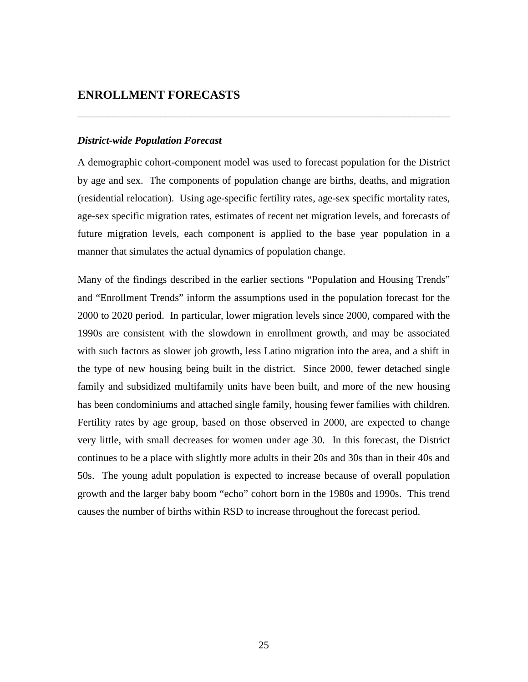### **ENROLLMENT FORECASTS**

#### *District-wide Population Forecast*

A demographic cohort-component model was used to forecast population for the District by age and sex. The components of population change are births, deaths, and migration (residential relocation). Using age-specific fertility rates, age-sex specific mortality rates, age-sex specific migration rates, estimates of recent net migration levels, and forecasts of future migration levels, each component is applied to the base year population in a manner that simulates the actual dynamics of population change.

\_\_\_\_\_\_\_\_\_\_\_\_\_\_\_\_\_\_\_\_\_\_\_\_\_\_\_\_\_\_\_\_\_\_\_\_\_\_\_\_\_\_\_\_\_\_\_\_\_\_\_\_\_\_\_\_\_\_\_\_\_\_\_\_\_\_\_\_\_\_\_\_

Many of the findings described in the earlier sections "Population and Housing Trends" and "Enrollment Trends" inform the assumptions used in the population forecast for the 2000 to 2020 period. In particular, lower migration levels since 2000, compared with the 1990s are consistent with the slowdown in enrollment growth, and may be associated with such factors as slower job growth, less Latino migration into the area, and a shift in the type of new housing being built in the district. Since 2000, fewer detached single family and subsidized multifamily units have been built, and more of the new housing has been condominiums and attached single family, housing fewer families with children. Fertility rates by age group, based on those observed in 2000, are expected to change very little, with small decreases for women under age 30. In this forecast, the District continues to be a place with slightly more adults in their 20s and 30s than in their 40s and 50s. The young adult population is expected to increase because of overall population growth and the larger baby boom "echo" cohort born in the 1980s and 1990s. This trend causes the number of births within RSD to increase throughout the forecast period.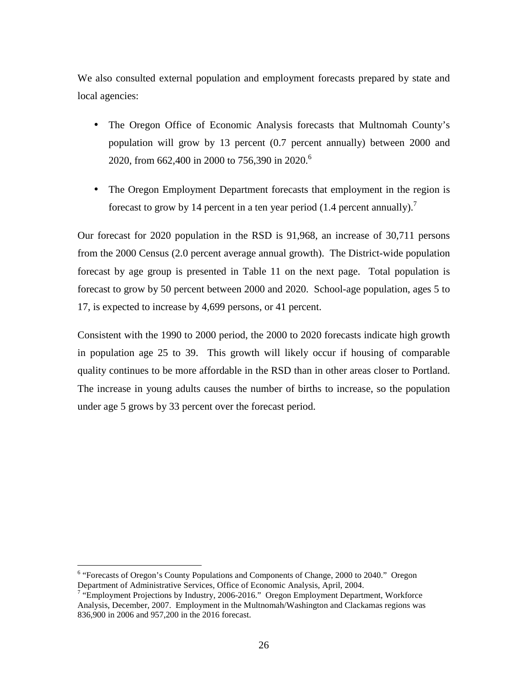We also consulted external population and employment forecasts prepared by state and local agencies:

- The Oregon Office of Economic Analysis forecasts that Multnomah County's population will grow by 13 percent (0.7 percent annually) between 2000 and 2020, from 662,400 in 2000 to 756,390 in 2020.<sup>6</sup>
- The Oregon Employment Department forecasts that employment in the region is forecast to grow by 14 percent in a ten year period  $(1.4$  percent annually).<sup>7</sup>

Our forecast for 2020 population in the RSD is 91,968, an increase of 30,711 persons from the 2000 Census (2.0 percent average annual growth). The District-wide population forecast by age group is presented in Table 11 on the next page. Total population is forecast to grow by 50 percent between 2000 and 2020. School-age population, ages 5 to 17, is expected to increase by 4,699 persons, or 41 percent.

Consistent with the 1990 to 2000 period, the 2000 to 2020 forecasts indicate high growth in population age 25 to 39. This growth will likely occur if housing of comparable quality continues to be more affordable in the RSD than in other areas closer to Portland. The increase in young adults causes the number of births to increase, so the population under age 5 grows by 33 percent over the forecast period.

Figure 2000 to 2040."<br>
Forecasts of Oregon's County Populations and Components of Change, 2000 to 2040." Oregon Department of Administrative Services, Office of Economic Analysis, April, 2004.

<sup>&</sup>lt;sup>7</sup> "Employment Projections by Industry, 2006-2016." Oregon Employment Department, Workforce Analysis, December, 2007. Employment in the Multnomah/Washington and Clackamas regions was 836,900 in 2006 and 957,200 in the 2016 forecast.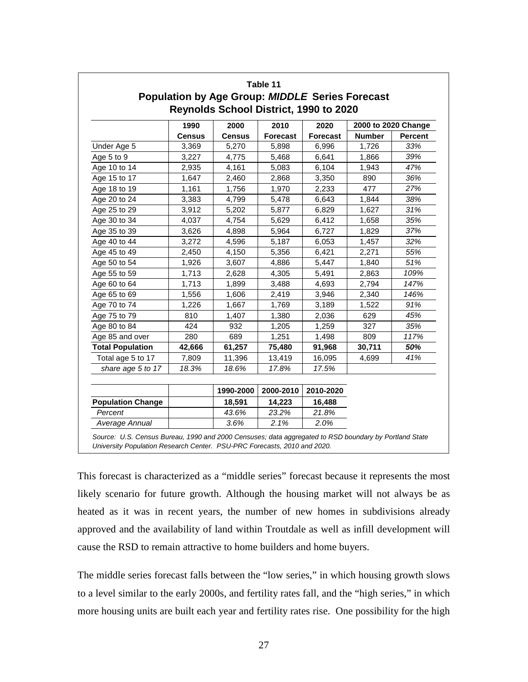|                          | 1990          | 2000          | 2010            | 2020            | 2000 to 2020 Change |                |  |
|--------------------------|---------------|---------------|-----------------|-----------------|---------------------|----------------|--|
|                          | <b>Census</b> | <b>Census</b> | <b>Forecast</b> | <b>Forecast</b> | <b>Number</b>       | <b>Percent</b> |  |
| Under Age 5              | 3,369         | 5,270         | 5,898           | 6,996           | 1,726               | 33%            |  |
| Age 5 to 9               | 3,227         | 4,775         | 5,468           | 6,641           | 1,866               | 39%            |  |
| Age 10 to 14             | 2,935         | 4,161         | 5,083           | 6,104           | 1,943               | 47%            |  |
| Age 15 to 17             | 1,647         | 2,460         | 2,868           | 3,350           | 890                 | 36%            |  |
| Age 18 to 19             | 1,161         | 1,756         | 1,970           | 2,233           | 477                 | 27%            |  |
| Age 20 to 24             | 3,383         | 4,799         | 5,478           | 6,643           | 1,844               | 38%            |  |
| Age 25 to 29             | 3,912         | 5,202         | 5,877           | 6,829           | 1,627               | 31%            |  |
| Age 30 to 34             | 4,037         | 4,754         | 5,629           | 6,412           | 1,658               | 35%            |  |
| Age 35 to 39             | 3,626         | 4,898         | 5,964           | 6,727           | 1,829               | 37%            |  |
| Age 40 to 44             | 3,272         | 4,596         | 5,187           | 6,053           | 1,457               | 32%            |  |
| Age 45 to 49             | 2,450         | 4,150         | 5,356           | 6,421           | 2,271               | 55%            |  |
| Age 50 to 54             | 1,926         | 3,607         | 4,886           | 5,447           | 1,840               | 51%            |  |
| Age 55 to 59             | 1,713         | 2,628         | 4,305           | 5,491           | 2,863               | 109%           |  |
| Age 60 to 64             | 1,713         | 1,899         | 3,488           | 4,693           | 2,794               | 147%           |  |
| Age 65 to 69             | 1,556         | 1,606         | 2,419           | 3,946           | 2,340               | 146%           |  |
| Age 70 to 74             | 1,226         | 1,667         | 1,769           | 3,189           | 1,522               | 91%            |  |
| Age 75 to 79             | 810           | 1,407         | 1,380           | 2,036           | 629                 | 45%            |  |
| Age 80 to 84             | 424           | 932           | 1,205           | 1,259           | 327                 | 35%            |  |
| Age 85 and over          | 280           | 689           | 1,251           | 1,498           | 809                 | 117%           |  |
| <b>Total Population</b>  | 42,666        | 61,257        | 75,480          | 91,968          | 30,711              | 50%            |  |
| Total age 5 to 17        | 7,809         | 11,396        | 13,419          | 16,095          | 4,699               | 41%            |  |
| share age 5 to 17        | 18.3%         | 18.6%         | 17.8%           | 17.5%           |                     |                |  |
|                          |               | 1990-2000     | 2000-2010       | 2010-2020       |                     |                |  |
| <b>Population Change</b> |               | 18,591        | 14,223          | 16,488          |                     |                |  |
| Percent                  |               | 43.6%         | 23.2%           | 21.8%           |                     |                |  |
| Average Annual           |               | 3.6%          | 2.1%            | 2.0%            |                     |                |  |

This forecast is characterized as a "middle series" forecast because it represents the most likely scenario for future growth. Although the housing market will not always be as heated as it was in recent years, the number of new homes in subdivisions already approved and the availability of land within Troutdale as well as infill development will cause the RSD to remain attractive to home builders and home buyers.

The middle series forecast falls between the "low series," in which housing growth slows to a level similar to the early 2000s, and fertility rates fall, and the "high series," in which more housing units are built each year and fertility rates rise. One possibility for the high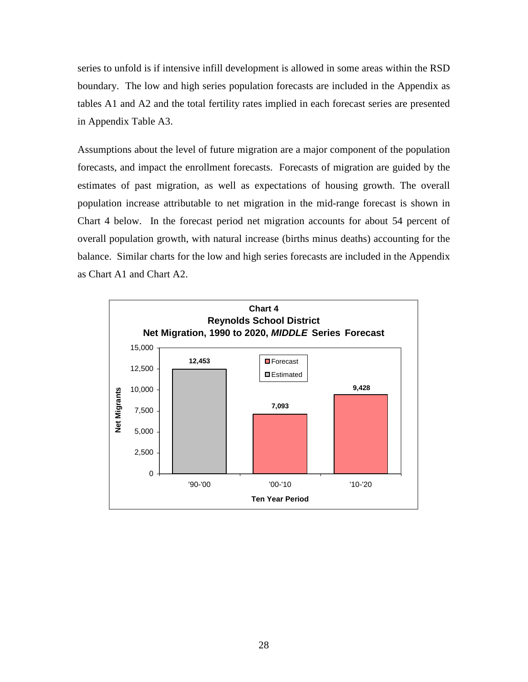series to unfold is if intensive infill development is allowed in some areas within the RSD boundary. The low and high series population forecasts are included in the Appendix as tables A1 and A2 and the total fertility rates implied in each forecast series are presented in Appendix Table A3.

Assumptions about the level of future migration are a major component of the population forecasts, and impact the enrollment forecasts. Forecasts of migration are guided by the estimates of past migration, as well as expectations of housing growth. The overall population increase attributable to net migration in the mid-range forecast is shown in Chart 4 below. In the forecast period net migration accounts for about 54 percent of overall population growth, with natural increase (births minus deaths) accounting for the balance. Similar charts for the low and high series forecasts are included in the Appendix as Chart A1 and Chart A2.

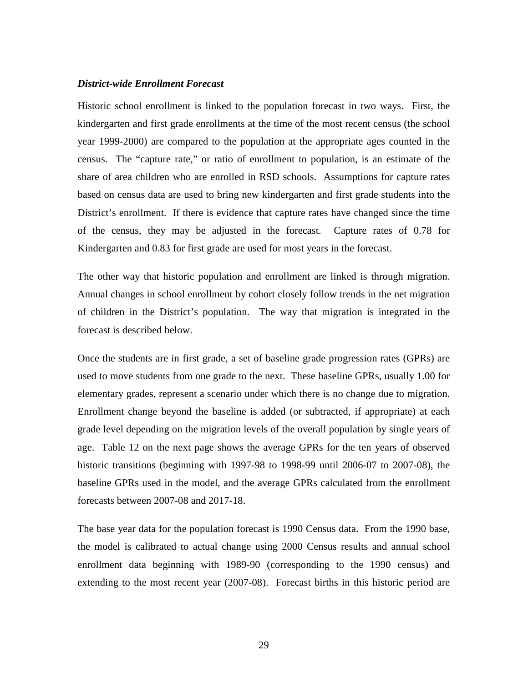#### *District-wide Enrollment Forecast*

Historic school enrollment is linked to the population forecast in two ways. First, the kindergarten and first grade enrollments at the time of the most recent census (the school year 1999-2000) are compared to the population at the appropriate ages counted in the census. The "capture rate," or ratio of enrollment to population, is an estimate of the share of area children who are enrolled in RSD schools. Assumptions for capture rates based on census data are used to bring new kindergarten and first grade students into the District's enrollment. If there is evidence that capture rates have changed since the time of the census, they may be adjusted in the forecast. Capture rates of 0.78 for Kindergarten and 0.83 for first grade are used for most years in the forecast.

The other way that historic population and enrollment are linked is through migration. Annual changes in school enrollment by cohort closely follow trends in the net migration of children in the District's population. The way that migration is integrated in the forecast is described below.

Once the students are in first grade, a set of baseline grade progression rates (GPRs) are used to move students from one grade to the next. These baseline GPRs, usually 1.00 for elementary grades, represent a scenario under which there is no change due to migration. Enrollment change beyond the baseline is added (or subtracted, if appropriate) at each grade level depending on the migration levels of the overall population by single years of age. Table 12 on the next page shows the average GPRs for the ten years of observed historic transitions (beginning with 1997-98 to 1998-99 until 2006-07 to 2007-08), the baseline GPRs used in the model, and the average GPRs calculated from the enrollment forecasts between 2007-08 and 2017-18.

The base year data for the population forecast is 1990 Census data. From the 1990 base, the model is calibrated to actual change using 2000 Census results and annual school enrollment data beginning with 1989-90 (corresponding to the 1990 census) and extending to the most recent year (2007-08). Forecast births in this historic period are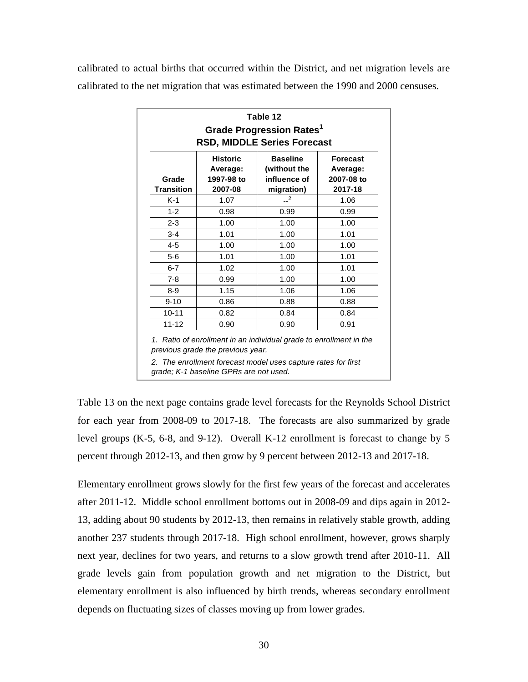calibrated to actual births that occurred within the District, and net migration levels are calibrated to the net migration that was estimated between the 1990 and 2000 censuses.

| Table 12<br><b>Grade Progression Rates1</b><br><b>RSD, MIDDLE Series Forecast</b>                                                                                                             |      |                |      |  |  |  |  |  |  |  |
|-----------------------------------------------------------------------------------------------------------------------------------------------------------------------------------------------|------|----------------|------|--|--|--|--|--|--|--|
| <b>Baseline</b><br><b>Historic</b><br>Forecast<br>(without the<br>Average:<br>Average:<br>influence of<br>Grade<br>1997-98 to<br>2007-08 to<br>Transition<br>2007-08<br>migration)<br>2017-18 |      |                |      |  |  |  |  |  |  |  |
| K-1                                                                                                                                                                                           | 1.07 | $\overline{2}$ | 1.06 |  |  |  |  |  |  |  |
| $1 - 2$                                                                                                                                                                                       | 0.98 | 0.99           | 0.99 |  |  |  |  |  |  |  |
| $2 - 3$                                                                                                                                                                                       | 1.00 | 1.00           | 1.00 |  |  |  |  |  |  |  |
| $3 - 4$                                                                                                                                                                                       | 1.01 | 1.00           | 1.01 |  |  |  |  |  |  |  |
| $4 - 5$                                                                                                                                                                                       | 1.00 | 1.00           | 1.00 |  |  |  |  |  |  |  |
| $5-6$                                                                                                                                                                                         | 1.01 | 1.00           | 1.01 |  |  |  |  |  |  |  |
| $6 - 7$                                                                                                                                                                                       | 1.02 | 1.00           | 1.01 |  |  |  |  |  |  |  |
| $7 - 8$                                                                                                                                                                                       | 0.99 | 1.00           | 1.00 |  |  |  |  |  |  |  |
| $8-9$                                                                                                                                                                                         | 1.15 | 1.06           | 1.06 |  |  |  |  |  |  |  |
| $9 - 10$                                                                                                                                                                                      | 0.86 | 0.88           | 0.88 |  |  |  |  |  |  |  |
| $10 - 11$                                                                                                                                                                                     | 0.82 | 0.84           | 0.84 |  |  |  |  |  |  |  |
| $11 - 12$                                                                                                                                                                                     | 0.90 | 0.90           | 0.91 |  |  |  |  |  |  |  |

1. Ratio of enrollment in an individual grade to enrollment in the previous grade the previous year.

2. The enrollment forecast model uses capture rates for first grade; K-1 baseline GPRs are not used.

Table 13 on the next page contains grade level forecasts for the Reynolds School District for each year from 2008-09 to 2017-18. The forecasts are also summarized by grade level groups (K-5, 6-8, and 9-12). Overall K-12 enrollment is forecast to change by 5 percent through 2012-13, and then grow by 9 percent between 2012-13 and 2017-18.

Elementary enrollment grows slowly for the first few years of the forecast and accelerates after 2011-12. Middle school enrollment bottoms out in 2008-09 and dips again in 2012- 13, adding about 90 students by 2012-13, then remains in relatively stable growth, adding another 237 students through 2017-18. High school enrollment, however, grows sharply next year, declines for two years, and returns to a slow growth trend after 2010-11. All grade levels gain from population growth and net migration to the District, but elementary enrollment is also influenced by birth trends, whereas secondary enrollment depends on fluctuating sizes of classes moving up from lower grades.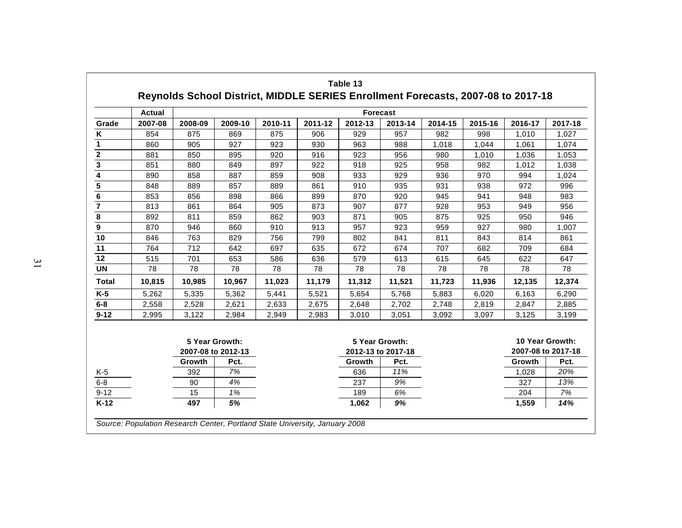|                  | <b>Actual</b>                        |         | <b>Forecast</b> |                                      |         |         |         |                                       |         |         |         |  |  |
|------------------|--------------------------------------|---------|-----------------|--------------------------------------|---------|---------|---------|---------------------------------------|---------|---------|---------|--|--|
| Grade            | 2007-08                              | 2008-09 | 2009-10         | 2010-11                              | 2011-12 | 2012-13 | 2013-14 | 2014-15                               | 2015-16 | 2016-17 | 2017-18 |  |  |
| Κ                | 854                                  | 875     | 869             | 875                                  | 906     | 929     | 957     | 982                                   | 998     | 1,010   | 1,027   |  |  |
| 1                | 860                                  | 905     | 927             | 923                                  | 930     | 963     | 988     | 1,018                                 | 1,044   | 1,061   | 1,074   |  |  |
| $\mathbf{2}$     | 881                                  | 850     | 895             | 920                                  | 916     | 923     | 956     | 980                                   | 1,010   | 1,036   | 1,053   |  |  |
| 3                | 851                                  | 880     | 849             | 897                                  | 922     | 918     | 925     | 958                                   | 982     | 1,012   | 1,038   |  |  |
| 4                | 890                                  | 858     | 887             | 859                                  | 908     | 933     | 929     | 936                                   | 970     | 994     | 1,024   |  |  |
| 5                | 848                                  | 889     | 857             | 889                                  | 861     | 910     | 935     | 931                                   | 938     | 972     | 996     |  |  |
| 6                | 853                                  | 856     | 898             | 866                                  | 899     | 870     | 920     | 945                                   | 941     | 948     | 983     |  |  |
| $\overline{7}$   | 813                                  | 861     | 864             | 905                                  | 873     | 907     | 877     | 928                                   | 953     | 949     | 956     |  |  |
| 8                | 892                                  | 811     | 859             | 862                                  | 903     | 871     | 905     | 875                                   | 925     | 950     | 946     |  |  |
| $\boldsymbol{9}$ | 870                                  | 946     | 860             | 910                                  | 913     | 957     | 923     | 959                                   | 927     | 980     | 1,007   |  |  |
| 10               | 846                                  | 763     | 829             | 756                                  | 799     | 802     | 841     | 811                                   | 843     | 814     | 861     |  |  |
| 11               | 764                                  | 712     | 642             | 697                                  | 635     | 672     | 674     | 707                                   | 682     | 709     | 684     |  |  |
| 12               | 515                                  | 701     | 653             | 586                                  | 636     | 579     | 613     | 615                                   | 645     | 622     | 647     |  |  |
| <b>UN</b>        | 78                                   | 78      | 78              | 78                                   | 78      | 78      | 78      | 78                                    | 78      | 78      | 78      |  |  |
| <b>Total</b>     | 10,815                               | 10,985  | 10,967          | 11,023                               | 11,179  | 11,312  | 11,521  | 11,723                                | 11,936  | 12,135  | 12,374  |  |  |
| $K-5$            | 5,262                                | 5,335   | 5.362           | 5,441                                | 5.521   | 5.654   | 5.768   | 5,883                                 | 6,020   | 6,163   | 6,290   |  |  |
| $6 - 8$          | 2,558                                | 2,528   | 2,621           | 2,633                                | 2,675   | 2,648   | 2,702   | 2,748                                 | 2,819   | 2,847   | 2,885   |  |  |
| $9 - 12$         | 2,995                                | 3,122   | 2,984           | 2,949                                | 2,983   | 3,010   | 3,051   | 3,092                                 | 3,097   | 3,125   | 3,199   |  |  |
|                  | 5 Year Growth:<br>2007-08 to 2012-13 |         |                 | 5 Year Growth:<br>2012-13 to 2017-18 |         |         |         | 10 Year Growth:<br>2007-08 to 2017-18 |         |         |         |  |  |
|                  |                                      | Growth  | Pct.            |                                      |         | Growth  | Pct.    |                                       |         | Growth  | Pct.    |  |  |
| $K-5$            |                                      | 392     | 7%              |                                      |         | 636     | 11%     |                                       |         | 1,028   | 20%     |  |  |
| $6 - 8$          |                                      | 90      | 4%              |                                      |         | 237     | 9%      |                                       |         | 327     | 13%     |  |  |
| $9 - 12$         |                                      | 15      | 1%              |                                      |         | 189     | 6%      |                                       |         | 204     | 7%      |  |  |
| $K-12$           |                                      | 497     | 5%              |                                      |         | 1,062   | 9%      |                                       |         | 1,559   | 14%     |  |  |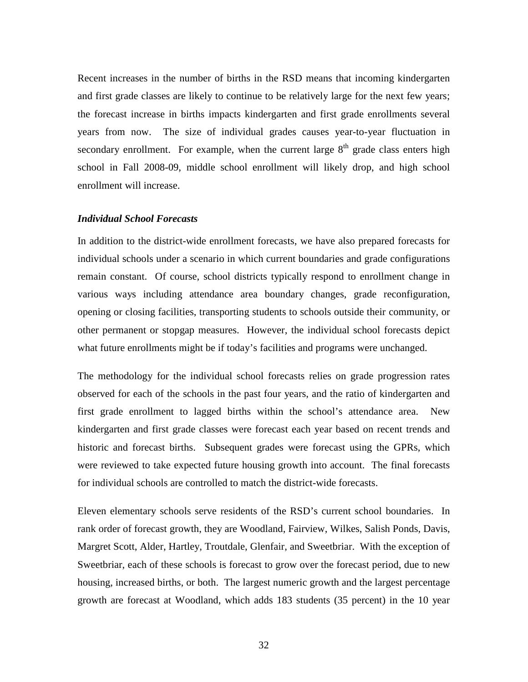Recent increases in the number of births in the RSD means that incoming kindergarten and first grade classes are likely to continue to be relatively large for the next few years; the forecast increase in births impacts kindergarten and first grade enrollments several years from now. The size of individual grades causes year-to-year fluctuation in secondary enrollment. For example, when the current large  $8<sup>th</sup>$  grade class enters high school in Fall 2008-09, middle school enrollment will likely drop, and high school enrollment will increase.

#### *Individual School Forecasts*

In addition to the district-wide enrollment forecasts, we have also prepared forecasts for individual schools under a scenario in which current boundaries and grade configurations remain constant. Of course, school districts typically respond to enrollment change in various ways including attendance area boundary changes, grade reconfiguration, opening or closing facilities, transporting students to schools outside their community, or other permanent or stopgap measures. However, the individual school forecasts depict what future enrollments might be if today's facilities and programs were unchanged.

The methodology for the individual school forecasts relies on grade progression rates observed for each of the schools in the past four years, and the ratio of kindergarten and first grade enrollment to lagged births within the school's attendance area. New kindergarten and first grade classes were forecast each year based on recent trends and historic and forecast births. Subsequent grades were forecast using the GPRs, which were reviewed to take expected future housing growth into account. The final forecasts for individual schools are controlled to match the district-wide forecasts.

Eleven elementary schools serve residents of the RSD's current school boundaries. In rank order of forecast growth, they are Woodland, Fairview, Wilkes, Salish Ponds, Davis, Margret Scott, Alder, Hartley, Troutdale, Glenfair, and Sweetbriar. With the exception of Sweetbriar, each of these schools is forecast to grow over the forecast period, due to new housing, increased births, or both. The largest numeric growth and the largest percentage growth are forecast at Woodland, which adds 183 students (35 percent) in the 10 year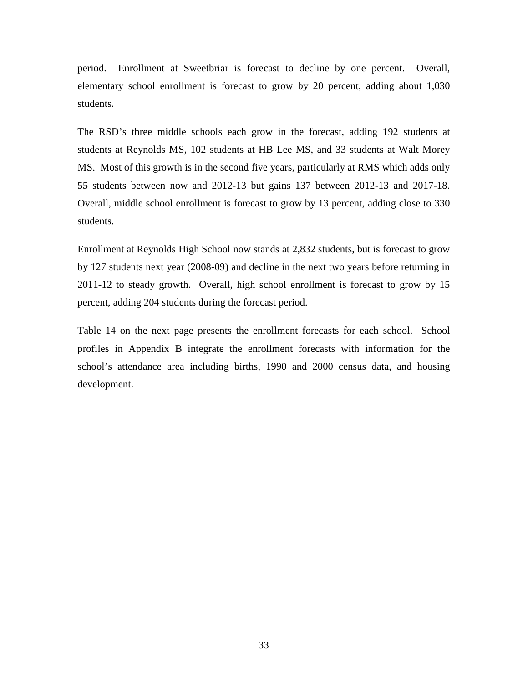period. Enrollment at Sweetbriar is forecast to decline by one percent. Overall, elementary school enrollment is forecast to grow by 20 percent, adding about 1,030 students.

The RSD's three middle schools each grow in the forecast, adding 192 students at students at Reynolds MS, 102 students at HB Lee MS, and 33 students at Walt Morey MS. Most of this growth is in the second five years, particularly at RMS which adds only 55 students between now and 2012-13 but gains 137 between 2012-13 and 2017-18. Overall, middle school enrollment is forecast to grow by 13 percent, adding close to 330 students.

Enrollment at Reynolds High School now stands at 2,832 students, but is forecast to grow by 127 students next year (2008-09) and decline in the next two years before returning in 2011-12 to steady growth. Overall, high school enrollment is forecast to grow by 15 percent, adding 204 students during the forecast period.

Table 14 on the next page presents the enrollment forecasts for each school. School profiles in Appendix B integrate the enrollment forecasts with information for the school's attendance area including births, 1990 and 2000 census data, and housing development.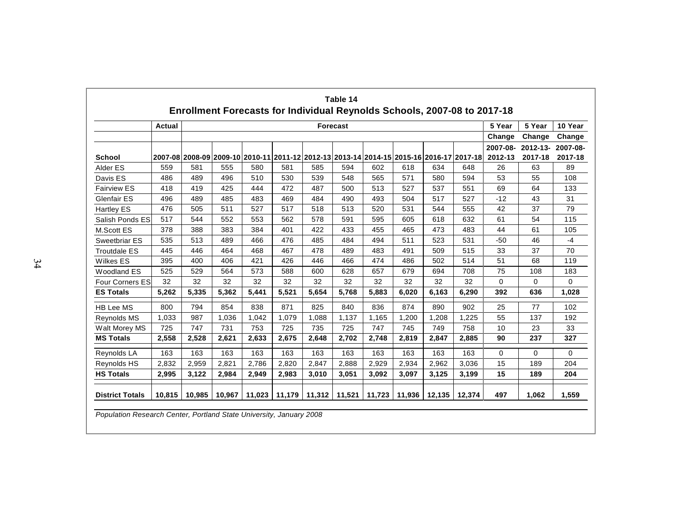|                        | <b>Actual</b> |       |       |       |       |       | Forecast |       |                                                                                         |       |       | 5 Year              | 5 Year              | 10 Year             |
|------------------------|---------------|-------|-------|-------|-------|-------|----------|-------|-----------------------------------------------------------------------------------------|-------|-------|---------------------|---------------------|---------------------|
|                        |               |       |       |       |       |       |          |       |                                                                                         |       |       | Change              | Change              | Change              |
| <b>School</b>          |               |       |       |       |       |       |          |       | 2007-08 2008-09 2009-10 2010-11 2011-12 2012-13 2013-14 2014-15 2015-16 2016-17 2017-18 |       |       | 2007-08-<br>2012-13 | 2012-13-<br>2017-18 | 2007-08-<br>2017-18 |
| Alder ES               | 559           | 581   | 555   | 580   | 581   | 585   | 594      | 602   | 618                                                                                     | 634   | 648   | 26                  | 63                  | 89                  |
| Davis ES               | 486           | 489   | 496   | 510   | 530   | 539   | 548      | 565   | 571                                                                                     | 580   | 594   | 53                  | 55                  | 108                 |
| <b>Fairview ES</b>     | 418           | 419   | 425   | 444   | 472   | 487   | 500      | 513   | 527                                                                                     | 537   | 551   | 69                  | 64                  | 133                 |
| <b>Glenfair ES</b>     | 496           | 489   | 485   | 483   | 469   | 484   | 490      | 493   | 504                                                                                     | 517   | 527   | $-12$               | 43                  | 31                  |
| <b>Hartley ES</b>      | 476           | 505   | 511   | 527   | 517   | 518   | 513      | 520   | 531                                                                                     | 544   | 555   | 42                  | 37                  | 79                  |
| Salish Ponds ES        | 517           | 544   | 552   | 553   | 562   | 578   | 591      | 595   | 605                                                                                     | 618   | 632   | 61                  | 54                  | 115                 |
| <b>M.Scott ES</b>      | 378           | 388   | 383   | 384   | 401   | 422   | 433      | 455   | 465                                                                                     | 473   | 483   | 44                  | 61                  | 105                 |
| Sweetbriar ES          | 535           | 513   | 489   | 466   | 476   | 485   | 484      | 494   | 511                                                                                     | 523   | 531   | $-50$               | 46                  | $-4$                |
| <b>Troutdale ES</b>    | 445           | 446   | 464   | 468   | 467   | 478   | 489      | 483   | 491                                                                                     | 509   | 515   | 33                  | 37                  | 70                  |
| <b>Wilkes ES</b>       | 395           | 400   | 406   | 421   | 426   | 446   | 466      | 474   | 486                                                                                     | 502   | 514   | 51                  | 68                  | 119                 |
| <b>Woodland ES</b>     | 525           | 529   | 564   | 573   | 588   | 600   | 628      | 657   | 679                                                                                     | 694   | 708   | 75                  | 108                 | 183                 |
| <b>Four Corners ES</b> | 32            | 32    | 32    | 32    | 32    | 32    | 32       | 32    | 32                                                                                      | 32    | 32    | $\Omega$            | 0                   | $\Omega$            |
| <b>ES Totals</b>       | 5,262         | 5,335 | 5,362 | 5,441 | 5,521 | 5.654 | 5,768    | 5,883 | 6,020                                                                                   | 6,163 | 6,290 | 392                 | 636                 | 1,028               |
| <b>HB Lee MS</b>       | 800           | 794   | 854   | 838   | 871   | 825   | 840      | 836   | 874                                                                                     | 890   | 902   | 25                  | 77                  | 102                 |
| <b>Reynolds MS</b>     | 1,033         | 987   | 1,036 | 1,042 | 1,079 | 1,088 | 1,137    | 1,165 | 1,200                                                                                   | 1,208 | 1,225 | 55                  | 137                 | 192                 |
| Walt Morey MS          | 725           | 747   | 731   | 753   | 725   | 735   | 725      | 747   | 745                                                                                     | 749   | 758   | 10                  | 23                  | 33                  |
| <b>MS Totals</b>       | 2,558         | 2,528 | 2,621 | 2,633 | 2.675 | 2,648 | 2,702    | 2,748 | 2,819                                                                                   | 2,847 | 2,885 | 90                  | 237                 | 327                 |
| Reynolds LA            | 163           | 163   | 163   | 163   | 163   | 163   | 163      | 163   | 163                                                                                     | 163   | 163   | $\Omega$            | $\Omega$            | $\Omega$            |
| <b>Reynolds HS</b>     | 2,832         | 2,959 | 2,821 | 2,786 | 2,820 | 2,847 | 2.888    | 2,929 | 2,934                                                                                   | 2,962 | 3,036 | 15                  | 189                 | 204                 |
| <b>HS Totals</b>       | 2,995         | 3,122 | 2,984 | 2,949 | 2,983 | 3,010 | 3,051    | 3,092 | 3,097                                                                                   | 3,125 | 3,199 | 15                  | 189                 | 204                 |

Population Research Center, Portland State University, January 2008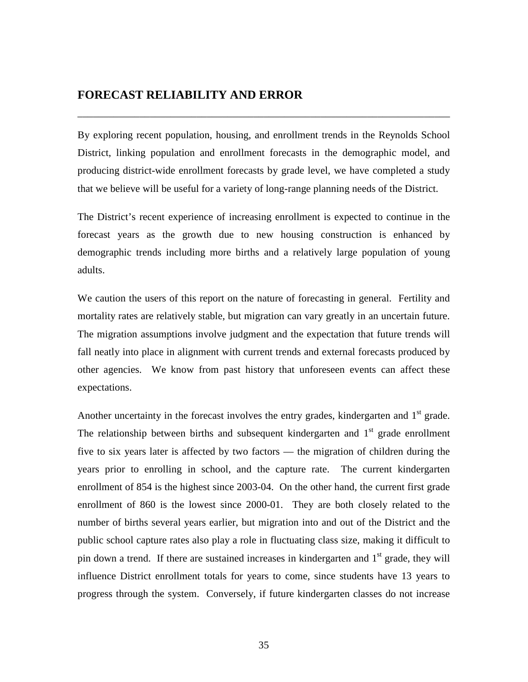## **FORECAST RELIABILITY AND ERROR**

By exploring recent population, housing, and enrollment trends in the Reynolds School District, linking population and enrollment forecasts in the demographic model, and producing district-wide enrollment forecasts by grade level, we have completed a study that we believe will be useful for a variety of long-range planning needs of the District.

\_\_\_\_\_\_\_\_\_\_\_\_\_\_\_\_\_\_\_\_\_\_\_\_\_\_\_\_\_\_\_\_\_\_\_\_\_\_\_\_\_\_\_\_\_\_\_\_\_\_\_\_\_\_\_\_\_\_\_\_\_\_\_\_\_\_\_\_\_\_\_\_

The District's recent experience of increasing enrollment is expected to continue in the forecast years as the growth due to new housing construction is enhanced by demographic trends including more births and a relatively large population of young adults.

We caution the users of this report on the nature of forecasting in general. Fertility and mortality rates are relatively stable, but migration can vary greatly in an uncertain future. The migration assumptions involve judgment and the expectation that future trends will fall neatly into place in alignment with current trends and external forecasts produced by other agencies. We know from past history that unforeseen events can affect these expectations.

Another uncertainty in the forecast involves the entry grades, kindergarten and  $1<sup>st</sup>$  grade. The relationship between births and subsequent kindergarten and  $1<sup>st</sup>$  grade enrollment five to six years later is affected by two factors — the migration of children during the years prior to enrolling in school, and the capture rate. The current kindergarten enrollment of 854 is the highest since 2003-04. On the other hand, the current first grade enrollment of 860 is the lowest since 2000-01. They are both closely related to the number of births several years earlier, but migration into and out of the District and the public school capture rates also play a role in fluctuating class size, making it difficult to pin down a trend. If there are sustained increases in kindergarten and  $1<sup>st</sup>$  grade, they will influence District enrollment totals for years to come, since students have 13 years to progress through the system. Conversely, if future kindergarten classes do not increase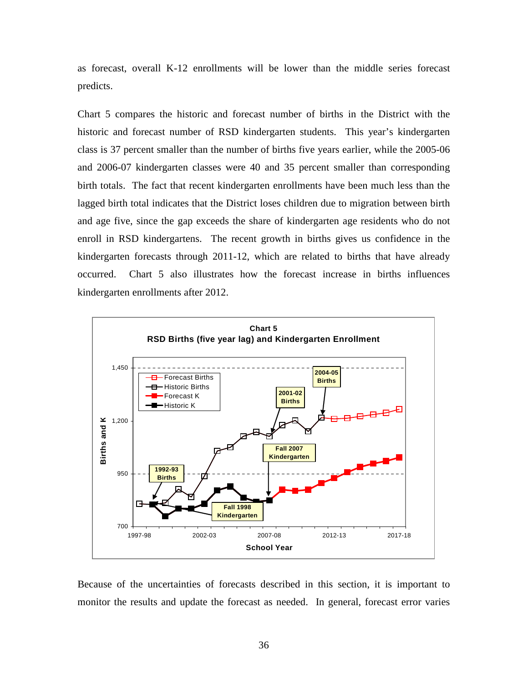as forecast, overall K-12 enrollments will be lower than the middle series forecast predicts.

Chart 5 compares the historic and forecast number of births in the District with the historic and forecast number of RSD kindergarten students.This year's kindergarten class is 37 percent smaller than the number of births five years earlier, while the 2005-06 and 2006-07 kindergarten classes were 40 and 35 percent smaller than corresponding birth totals.The fact that recent kindergarten enrollments have been much less than the lagged birth total indicates that the District loses children due to migration between birth and age five, since the gap exceeds the share of kindergarten age residents who do not enroll in RSD kindergartens. The recent growth in births gives us confidence in the kindergarten forecasts through 2011-12, which are related to births that have already occurred. Chart 5 also illustrates how the forecast increase in births influences kindergarten enrollments after 2012.



Because of the uncertainties of forecasts described in this section, it is important to monitor the results and update the forecast as needed. In general, forecast error varies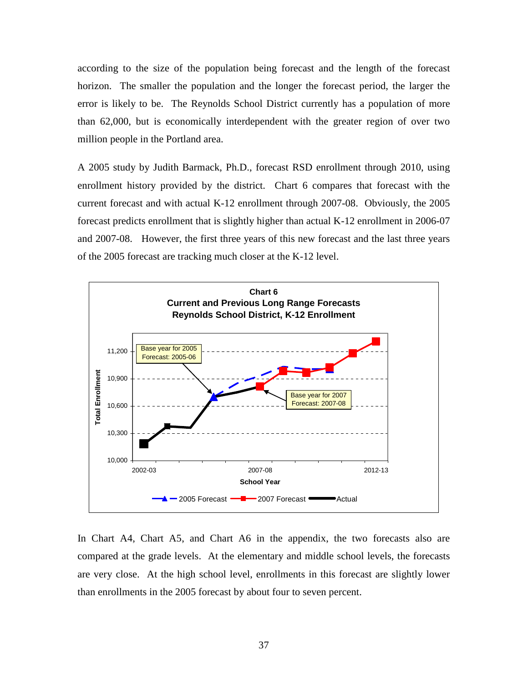according to the size of the population being forecast and the length of the forecast horizon. The smaller the population and the longer the forecast period, the larger the error is likely to be. The Reynolds School District currently has a population of more than 62,000, but is economically interdependent with the greater region of over two million people in the Portland area.

A 2005 study by Judith Barmack, Ph.D., forecast RSD enrollment through 2010, using enrollment history provided by the district. Chart 6 compares that forecast with the current forecast and with actual K-12 enrollment through 2007-08. Obviously, the 2005 forecast predicts enrollment that is slightly higher than actual K-12 enrollment in 2006-07 and 2007-08. However, the first three years of this new forecast and the last three years of the 2005 forecast are tracking much closer at the K-12 level.



In Chart A4, Chart A5, and Chart A6 in the appendix, the two forecasts also are compared at the grade levels. At the elementary and middle school levels, the forecasts are very close. At the high school level, enrollments in this forecast are slightly lower than enrollments in the 2005 forecast by about four to seven percent.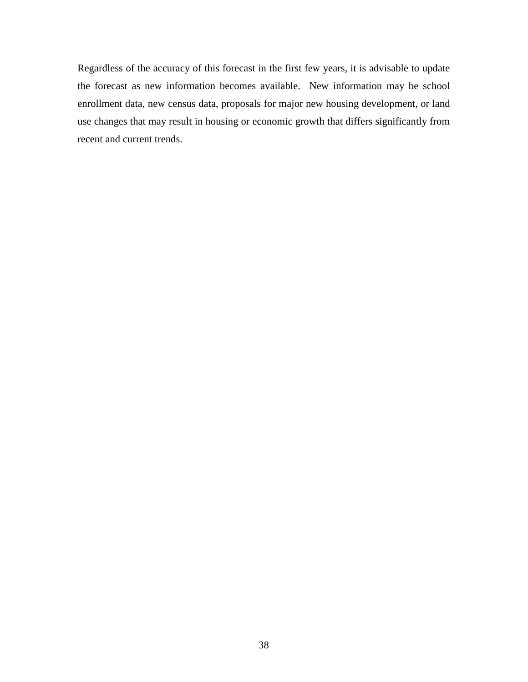Regardless of the accuracy of this forecast in the first few years, it is advisable to update the forecast as new information becomes available. New information may be school enrollment data, new census data, proposals for major new housing development, or land use changes that may result in housing or economic growth that differs significantly from recent and current trends.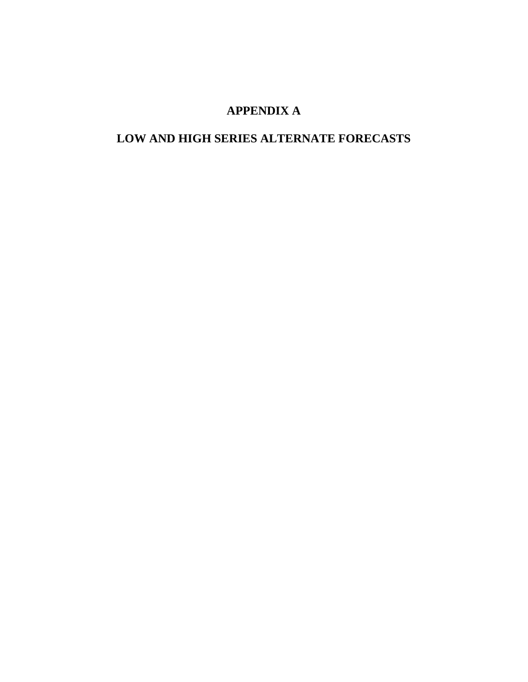## **APPENDIX A**

# **LOW AND HIGH SERIES ALTERNATE FORECASTS**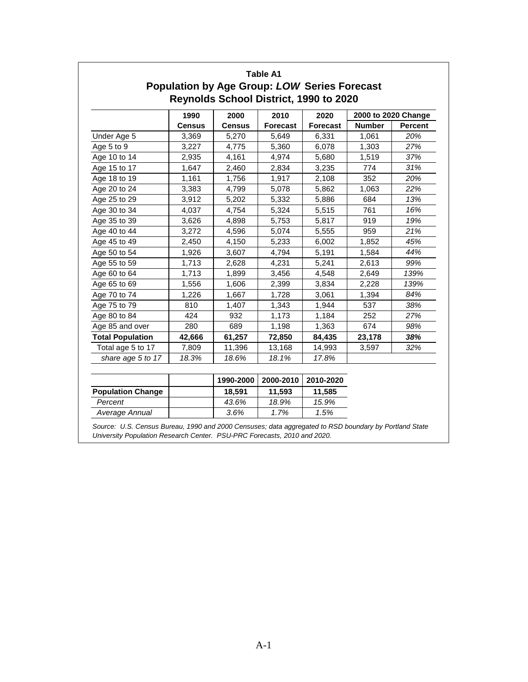|                         | 1990          | 2000          | 2010            | 2020            | 2000 to 2020 Change |                |
|-------------------------|---------------|---------------|-----------------|-----------------|---------------------|----------------|
|                         | <b>Census</b> | <b>Census</b> | <b>Forecast</b> | <b>Forecast</b> | <b>Number</b>       | <b>Percent</b> |
| Under Age 5             | 3,369         | 5,270         | 5,649           | 6,331           | 1,061               | 20%            |
| Age 5 to 9              | 3,227         | 4,775         | 5,360           | 6,078           | 1,303               | 27%            |
| Age 10 to 14            | 2,935         | 4,161         | 4,974           | 5,680           | 1,519               | 37%            |
| Age 15 to 17            | 1,647         | 2,460         | 2,834           | 3,235           | 774                 | 31%            |
| Age 18 to 19            | 1,161         | 1,756         | 1,917           | 2,108           | 352                 | 20%            |
| Age 20 to 24            | 3,383         | 4,799         | 5,078           | 5,862           | 1,063               | 22%            |
| Age 25 to 29            | 3,912         | 5,202         | 5,332           | 5,886           | 684                 | 13%            |
| Age 30 to 34            | 4,037         | 4,754         | 5,324           | 5,515           | 761                 | 16%            |
| Age 35 to 39            | 3,626         | 4,898         | 5,753           | 5,817           | 919                 | 19%            |
| Age 40 to 44            | 3,272         | 4,596         | 5,074           | 5,555           | 959                 | 21%            |
| Age 45 to 49            | 2,450         | 4,150         | 5,233           | 6,002           | 1,852               | 45%            |
| Age 50 to 54            | 1,926         | 3,607         | 4,794           | 5,191           | 1,584               | 44%            |
| Age 55 to 59            | 1,713         | 2,628         | 4,231           | 5,241           | 2,613               | 99%            |
| Age 60 to 64            | 1,713         | 1,899         | 3,456           | 4,548           | 2,649               | 139%           |
| Age 65 to 69            | 1,556         | 1,606         | 2,399           | 3,834           | 2,228               | 139%           |
| Age 70 to 74            | 1,226         | 1,667         | 1,728           | 3,061           | 1,394               | 84%            |
| Age 75 to 79            | 810           | 1,407         | 1,343           | 1,944           | 537                 | 38%            |
| Age 80 to 84            | 424           | 932           | 1,173           | 1,184           | 252                 | 27%            |
| Age 85 and over         | 280           | 689           | 1,198           | 1,363           | 674                 | 98%            |
| <b>Total Population</b> | 42,666        | 61,257        | 72,850          | 84,435          | 23,178              | 38%            |
| Total age 5 to 17       | 7,809         | 11,396        | 13,168          | 14,993          | 3,597               | 32%            |
| share age 5 to 17       | 18.3%         | 18.6%         | 18.1%           | 17.8%           |                     |                |

|                          | 1990-2000 | 2000-2010 | 2010-2020 |
|--------------------------|-----------|-----------|-----------|
| <b>Population Change</b> | 18.591    | 11.593    | 11.585    |
| Percent                  | 43.6%     | 18.9%     | 15.9%     |
| Average Annual           | 3.6%      | 1.7%      | 1.5%      |

Source: U.S. Census Bureau, 1990 and 2000 Censuses; data aggregated to RSD boundary by Portland State University Population Research Center. PSU-PRC Forecasts, 2010 and 2020.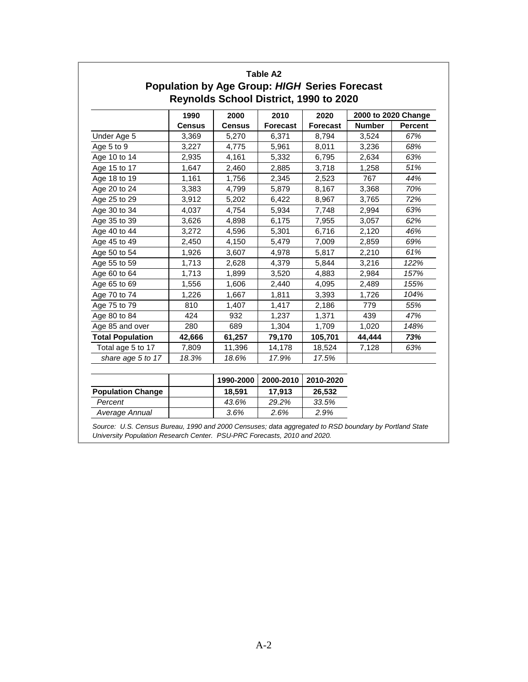|                         | 1990          | 2000          | 2010            | 2020            | 2000 to 2020 Change |                |
|-------------------------|---------------|---------------|-----------------|-----------------|---------------------|----------------|
|                         | <b>Census</b> | <b>Census</b> | <b>Forecast</b> | <b>Forecast</b> | <b>Number</b>       | <b>Percent</b> |
| Under Age 5             | 3,369         | 5,270         | 6,371           | 8,794           | 3,524               | 67%            |
| Age 5 to 9              | 3,227         | 4,775         | 5,961           | 8,011           | 3,236               | 68%            |
| Age 10 to 14            | 2,935         | 4,161         | 5,332           | 6,795           | 2,634               | 63%            |
| Age 15 to 17            | 1,647         | 2,460         | 2,885           | 3,718           | 1,258               | 51%            |
| Age 18 to 19            | 1,161         | 1,756         | 2,345           | 2,523           | 767                 | 44%            |
| Age 20 to 24            | 3,383         | 4,799         | 5,879           | 8,167           | 3,368               | 70%            |
| Age 25 to 29            | 3,912         | 5,202         | 6,422           | 8,967           | 3,765               | 72%            |
| Age 30 to 34            | 4,037         | 4,754         | 5,934           | 7,748           | 2,994               | 63%            |
| Age 35 to 39            | 3,626         | 4,898         | 6,175           | 7,955           | 3,057               | 62%            |
| Age 40 to 44            | 3,272         | 4,596         | 5,301           | 6,716           | 2,120               | 46%            |
| Age 45 to 49            | 2,450         | 4,150         | 5,479           | 7,009           | 2,859               | 69%            |
| Age 50 to 54            | 1,926         | 3,607         | 4,978           | 5,817           | 2,210               | 61%            |
| Age 55 to 59            | 1,713         | 2,628         | 4,379           | 5,844           | 3,216               | 122%           |
| Age 60 to 64            | 1,713         | 1,899         | 3,520           | 4,883           | 2,984               | 157%           |
| Age 65 to 69            | 1,556         | 1,606         | 2,440           | 4,095           | 2,489               | 155%           |
| Age 70 to 74            | 1,226         | 1,667         | 1,811           | 3,393           | 1,726               | 104%           |
| Age 75 to 79            | 810           | 1,407         | 1,417           | 2,186           | 779                 | 55%            |
| Age 80 to 84            | 424           | 932           | 1,237           | 1,371           | 439                 | 47%            |
| Age 85 and over         | 280           | 689           | 1,304           | 1,709           | 1,020               | 148%           |
| <b>Total Population</b> | 42,666        | 61,257        | 79,170          | 105,701         | 44,444              | 73%            |
| Total age 5 to 17       | 7,809         | 11,396        | 14,178          | 18,524          | 7,128               | 63%            |
| share age 5 to 17       | 18.3%         | 18.6%         | 17.9%           | 17.5%           |                     |                |

|                          | 1990-2000 | 2000-2010 | 2010-2020 |
|--------------------------|-----------|-----------|-----------|
| <b>Population Change</b> | 18.591    | 17.913    | 26.532    |
| Percent                  | 43.6%     | 29.2%     | 33.5%     |
| Average Annual           | 3.6%      | 2.6%      | 2.9%      |

Source: U.S. Census Bureau, 1990 and 2000 Censuses; data aggregated to RSD boundary by Portland State University Population Research Center. PSU-PRC Forecasts, 2010 and 2020.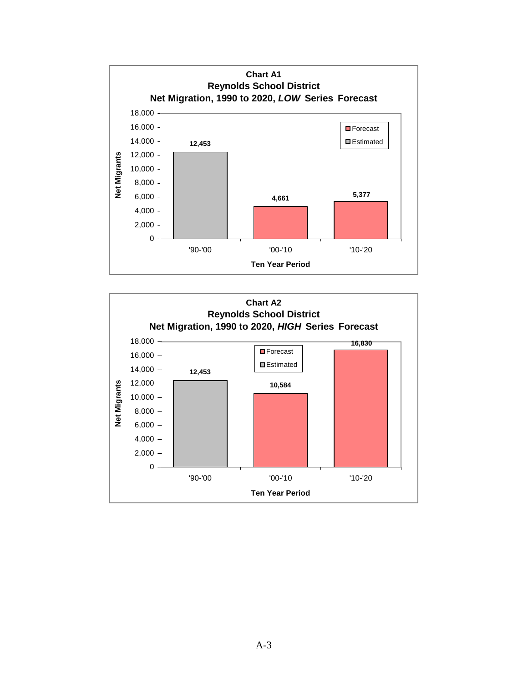

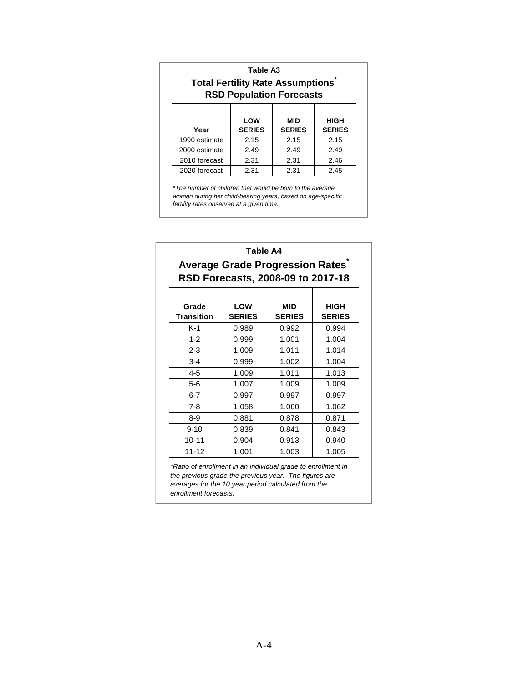| Table A3<br><b>Total Fertility Rate Assumptions</b><br><b>RSD Population Forecasts</b> |      |      |      |  |  |  |  |  |  |
|----------------------------------------------------------------------------------------|------|------|------|--|--|--|--|--|--|
| LOW<br>MID<br>HIGH<br><b>SERIES</b><br><b>SERIES</b><br><b>SERIES</b><br>Year          |      |      |      |  |  |  |  |  |  |
| 1990 estimate                                                                          | 2.15 | 2.15 | 2.15 |  |  |  |  |  |  |
| 2000 estimate                                                                          | 2.49 | 2.49 | 2.49 |  |  |  |  |  |  |
| 2010 forecast<br>2.31<br>2.31<br>2.46                                                  |      |      |      |  |  |  |  |  |  |
| 2020 forecast                                                                          | 2.31 | 2.31 | 2.45 |  |  |  |  |  |  |

\*The number of children that would be born to the average woman during her child-bearing years, based on age-specific fertility rates observed at a given time.

| Table A4<br>Average Grade Progression Rates<br>RSD Forecasts, 2008-09 to 2017-18 |                             |                             |                       |  |  |  |  |  |
|----------------------------------------------------------------------------------|-----------------------------|-----------------------------|-----------------------|--|--|--|--|--|
| Grade<br><b>Transition</b>                                                       | <b>LOW</b><br><b>SERIES</b> | <b>MID</b><br><b>SERIES</b> | HIGH<br><b>SERIES</b> |  |  |  |  |  |
| $K-1$                                                                            | 0.989                       | 0.992                       | 0.994                 |  |  |  |  |  |
| $1 - 2$                                                                          | 0.999                       | 1.001                       | 1.004                 |  |  |  |  |  |
| $2 - 3$                                                                          | 1.009                       | 1.011                       | 1.014                 |  |  |  |  |  |
| $3 - 4$                                                                          | 0.999                       | 1.002                       | 1.004                 |  |  |  |  |  |
| $4 - 5$                                                                          | 1.009                       | 1.011                       | 1.013                 |  |  |  |  |  |
| 5-6                                                                              | 1.007                       | 1.009                       | 1.009                 |  |  |  |  |  |
| $6 - 7$                                                                          | 0.997                       | 0.997                       | 0.997                 |  |  |  |  |  |
| $7 - 8$                                                                          | 1.058                       | 1.060                       | 1.062                 |  |  |  |  |  |
| 8-9                                                                              | 0.881                       | 0.878                       | 0.871                 |  |  |  |  |  |
| $9 - 10$                                                                         | 0.839                       | 0.841                       | 0.843                 |  |  |  |  |  |
| $10 - 11$                                                                        | 0.904                       | 0.913                       | 0.940                 |  |  |  |  |  |
| $11 - 12$                                                                        | 1.001                       | 1.003                       | 1.005                 |  |  |  |  |  |

\*Ratio of enrollment in an individual grade to enrollment in the previous grade the previous year. The figures are averages for the 10 year period calculated from the enrollment forecasts.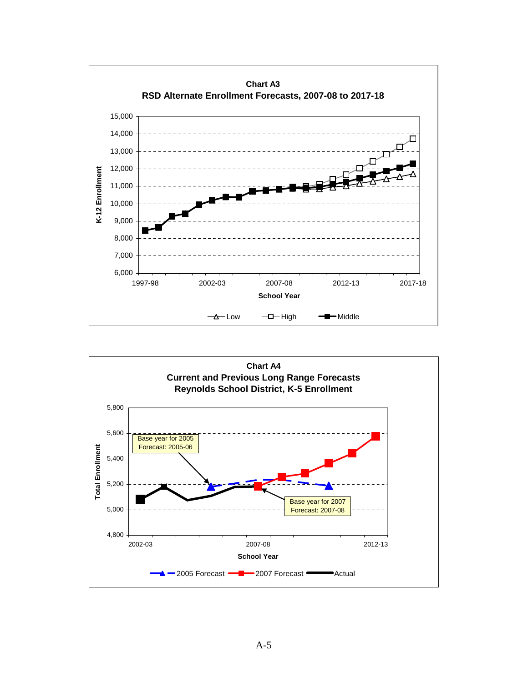

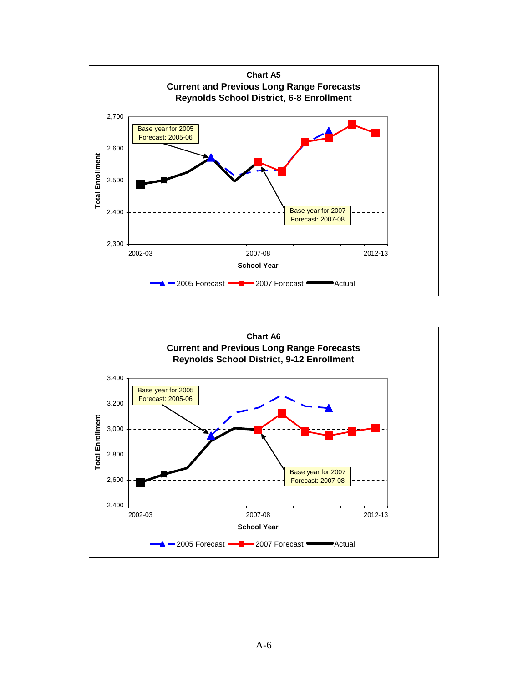

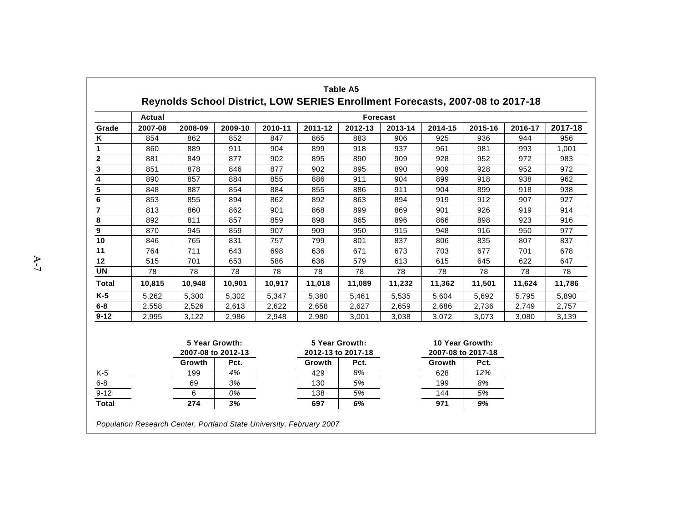|                | Actual         |         |                            |         |         | <b>Forecast</b>                      |         |         |                                       |         |         |
|----------------|----------------|---------|----------------------------|---------|---------|--------------------------------------|---------|---------|---------------------------------------|---------|---------|
| Grade          | 2007-08        | 2008-09 | 2009-10                    | 2010-11 | 2011-12 | 2012-13                              | 2013-14 | 2014-15 | 2015-16                               | 2016-17 | 2017-18 |
| Κ              | 854            | 862     | 852                        | 847     | 865     | 883                                  | 906     | 925     | 936                                   | 944     | 956     |
| 1              | 860            | 889     | 911                        | 904     | 899     | 918                                  | 937     | 961     | 981                                   | 993     | 1,001   |
| $\mathbf 2$    | 881            | 849     | 877                        | 902     | 895     | 890                                  | 909     | 928     | 952                                   | 972     | 983     |
| 3              | 851            | 878     | 846                        | 877     | 902     | 895                                  | 890     | 909     | 928                                   | 952     | 972     |
| 4              | 890            | 857     | 884                        | 855     | 886     | 911                                  | 904     | 899     | 918                                   | 938     | 962     |
| 5              | 848            | 887     | 854                        | 884     | 855     | 886                                  | 911     | 904     | 899                                   | 918     | 938     |
| $\bf 6$        | 853            | 855     | 894                        | 862     | 892     | 863                                  | 894     | 919     | 912                                   | 907     | 927     |
| $\overline{7}$ | 813            | 860     | 862                        | 901     | 868     | 899                                  | 869     | 901     | 926                                   | 919     | 914     |
| 8              | 892            | 811     | 857                        | 859     | 898     | 865                                  | 896     | 866     | 898                                   | 923     | 916     |
| 9              | 870            | 945     | 859                        | 907     | 909     | 950                                  | 915     | 948     | 916                                   | 950     | 977     |
| 10             | 846            | 765     | 831                        | 757     | 799     | 801                                  | 837     | 806     | 835                                   | 807     | 837     |
| 11             | 764            | 711     | 643                        | 698     | 636     | 671                                  | 673     | 703     | 677                                   | 701     | 678     |
| 12             | 515            | 701     | 653                        | 586     | 636     | 579                                  | 613     | 615     | 645                                   | 622     | 647     |
| <b>UN</b>      | 78             | 78      | 78                         | 78      | 78      | 78                                   | 78      | 78      | 78                                    | 78      | 78      |
| <b>Total</b>   | 10,815         | 10,948  | 10,901                     | 10,917  | 11,018  | 11,089                               | 11,232  | 11,362  | 11,501                                | 11,624  | 11,786  |
| $K-5$          | 5,262          | 5,300   | 5,302                      | 5,347   | 5,380   | 5,461                                | 5,535   | 5,604   | 5,692                                 | 5,795   | 5,890   |
| $6 - 8$        | 2,558          | 2,526   | 2,613                      | 2,622   | 2,658   | 2,627                                | 2,659   | 2,686   | 2,736                                 | 2,749   | 2,757   |
| $9 - 12$       | 2,995          | 3,122   | 2,986                      | 2,948   | 2,980   | 3,001                                | 3,038   | 3,072   | 3,073                                 | 3,080   | 3,139   |
|                | 5 Year Growth: |         |                            |         |         | 5 Year Growth:<br>2012-13 to 2017-18 |         |         | 10 Year Growth:<br>2007-08 to 2017-18 |         |         |
|                |                | Growth  | 2007-08 to 2012-13<br>Pct. |         | Growth  | Pct.                                 |         | Growth  | Pct.                                  |         |         |
| $K-5$          |                | 199     | 4%                         |         | 429     | 8%                                   |         | 628     | 12%                                   |         |         |
| $6 - 8$        |                | 69      | 3%                         |         | 130     | 5%                                   |         | 199     | 8%                                    |         |         |
| $9 - 12$       |                | 6       | 0%                         |         | 138     | 5%                                   |         | 144     | 5%                                    |         |         |
| <b>Total</b>   |                | 274     | 3%                         |         | 697     | 6%                                   |         | 971     | 9%                                    |         |         |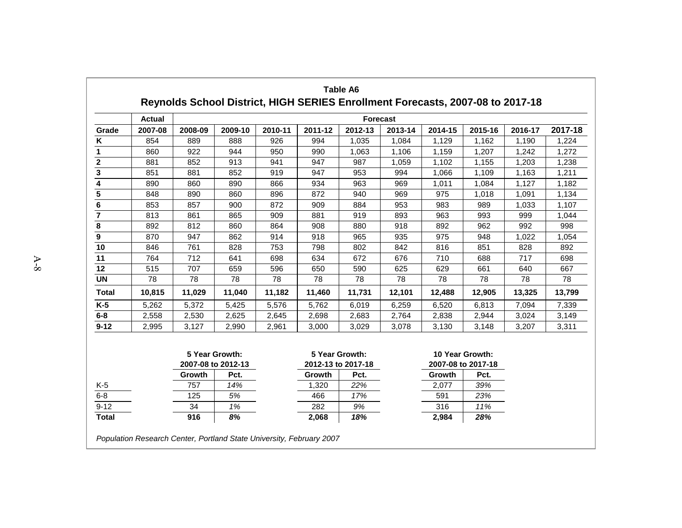|                  | <b>Actual</b>  |         |                            |         |         | <b>Forecast</b>            |         |                 |                            |         |         |
|------------------|----------------|---------|----------------------------|---------|---------|----------------------------|---------|-----------------|----------------------------|---------|---------|
| Grade            | 2007-08        | 2008-09 | 2009-10                    | 2010-11 | 2011-12 | 2012-13                    | 2013-14 | 2014-15         | 2015-16                    | 2016-17 | 2017-18 |
| Κ                | 854            | 889     | 888                        | 926     | 994     | 1,035                      | 1,084   | 1,129           | 1,162                      | 1,190   | 1,224   |
| 1                | 860            | 922     | 944                        | 950     | 990     | 1,063                      | 1,106   | 1,159           | 1,207                      | 1,242   | 1,272   |
| $\boldsymbol{2}$ | 881            | 852     | 913                        | 941     | 947     | 987                        | 1,059   | 1,102           | 1,155                      | 1,203   | 1,238   |
| $\mathbf 3$      | 851            | 881     | 852                        | 919     | 947     | 953                        | 994     | 1,066           | 1,109                      | 1,163   | 1,211   |
| 4                | 890            | 860     | 890                        | 866     | 934     | 963                        | 969     | 1,011           | 1,084                      | 1,127   | 1,182   |
| 5                | 848            | 890     | 860                        | 896     | 872     | 940                        | 969     | 975             | 1,018                      | 1,091   | 1,134   |
| 6                | 853            | 857     | 900                        | 872     | 909     | 884                        | 953     | 983             | 989                        | 1,033   | 1,107   |
| $\overline{7}$   | 813            | 861     | 865                        | 909     | 881     | 919                        | 893     | 963             | 993                        | 999     | 1,044   |
| 8                | 892            | 812     | 860                        | 864     | 908     | 880                        | 918     | 892             | 962                        | 992     | 998     |
| $\boldsymbol{9}$ | 870            | 947     | 862                        | 914     | 918     | 965                        | 935     | 975             | 948                        | 1,022   | 1,054   |
| 10               | 846            | 761     | 828                        | 753     | 798     | 802                        | 842     | 816             | 851                        | 828     | 892     |
| 11               | 764            | 712     | 641                        | 698     | 634     | 672                        | 676     | 710             | 688                        | 717     | 698     |
| 12               | 515            | 707     | 659                        | 596     | 650     | 590                        | 625     | 629             | 661                        | 640     | 667     |
| <b>UN</b>        | 78             | 78      | 78                         | 78      | 78      | 78                         | 78      | 78              | 78                         | 78      | 78      |
| <b>Total</b>     | 10,815         | 11,029  | 11,040                     | 11,182  | 11,460  | 11,731                     | 12,101  | 12,488          | 12,905                     | 13,325  | 13,799  |
| $K-5$            | 5,262          | 5,372   | 5,425                      | 5,576   | 5.762   | 6.019                      | 6,259   | 6,520           | 6,813                      | 7,094   | 7,339   |
| $6-8$            | 2,558          | 2,530   | 2,625                      | 2,645   | 2,698   | 2,683                      | 2,764   | 2,838           | 2,944                      | 3,024   | 3,149   |
| $9 - 12$         | 2,995          | 3,127   | 2,990                      | 2,961   | 3,000   | 3,029                      | 3,078   | 3,130           | 3,148                      | 3,207   | 3,311   |
|                  | 5 Year Growth: |         |                            |         |         | 5 Year Growth:             |         | 10 Year Growth: |                            |         |         |
|                  |                | Growth  | 2007-08 to 2012-13<br>Pct. |         | Growth  | 2012-13 to 2017-18<br>Pct. |         | Growth          | 2007-08 to 2017-18<br>Pct. |         |         |
| $K-5$            |                | 757     | 14%                        |         | 1,320   | 22%                        |         | 2,077           | 39%                        |         |         |
| $6 - 8$          |                | 125     | 5%                         |         | 466     | 17%                        |         | 591             | 23%                        |         |         |
| $9 - 12$         |                | 34      | 1%                         |         | 282     | 9%                         |         | 316             | 11%                        |         |         |
| <b>Total</b>     |                | 916     | 8%                         |         | 2,068   | 18%                        |         | 2,984           | 28%                        |         |         |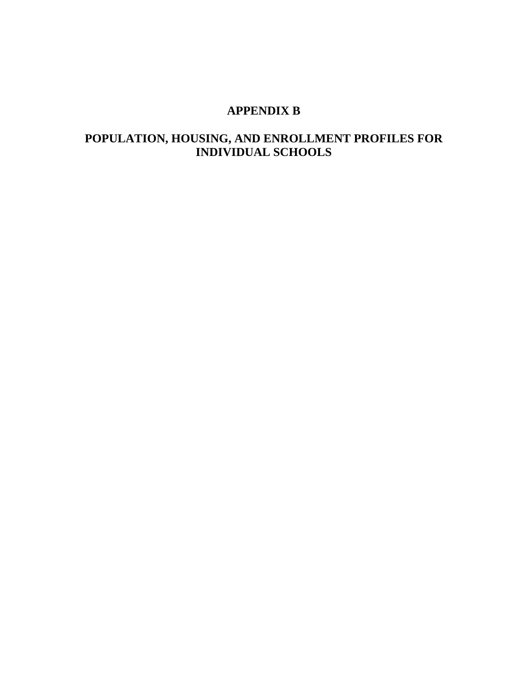## **APPENDIX B**

## **POPULATION, HOUSING, AND ENROLLMENT PROFILES FOR INDIVIDUAL SCHOOLS**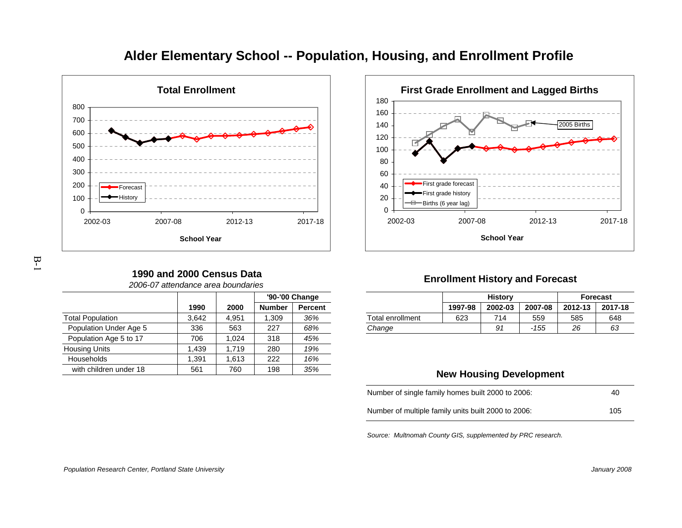

# **Alder Elementary School -- Population, Housing, and Enrollment Profile**



#### **Enrollment History and Forecast**

| <u>je</u> |                  |         | <b>History</b> |         |         | <b>Forecast</b> |
|-----------|------------------|---------|----------------|---------|---------|-----------------|
| :ent      |                  | 1997-98 | 2002-03        | 2007-08 | 2012-13 | 2017-18         |
| %         | Total enrollment | 623     | 714            | 559     | 585     | 648             |
| %         | Change           |         | 91             | -155    | 26      | 63              |
| $\sim$    |                  |         |                |         |         |                 |

#### **New Housing Development**

| Number of single family homes built 2000 to 2006:   | 40  |
|-----------------------------------------------------|-----|
| Number of multiple family units built 2000 to 2006: | 105 |

Source: Multnomah County GIS, supplemented by PRC research.

#### **1990 and 2000 Census Data**

2006-07 attendance area boundaries

|                         |       |       |               | '90-'00 Change |
|-------------------------|-------|-------|---------------|----------------|
|                         | 1990  | 2000  | <b>Number</b> | <b>Percent</b> |
| <b>Total Population</b> | 3.642 | 4.951 | 1,309         | 36%            |
| Population Under Age 5  | 336   | 563   | 227           | 68%            |
| Population Age 5 to 17  | 706   | 1.024 | 318           | 45%            |
| <b>Housing Units</b>    | 1.439 | 1.719 | 280           | 19%            |
| Households              | 1.391 | 1.613 | 222           | 16%            |
| with children under 18  | 561   | 760   | 198           | 35%            |
|                         |       |       |               |                |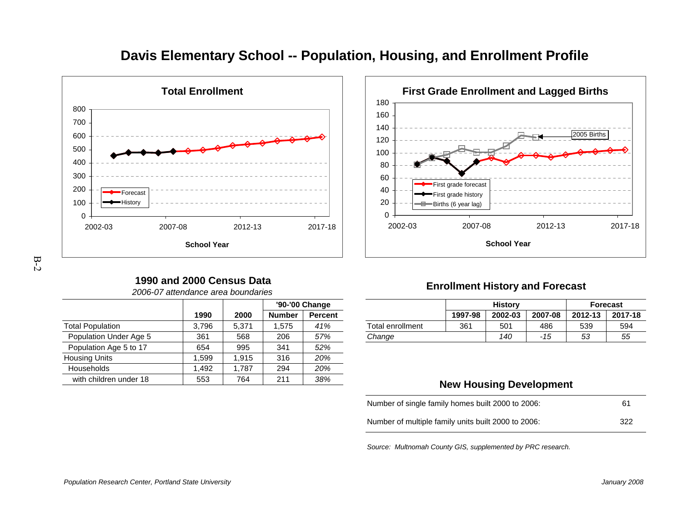

# **Davis Elementary School -- Population, Housing, and Enrollment Profile**

# 2002-03 2007-08 2012-13 2017-18 **School Year**

First grade forecastFirst grade historyBirths (6 year lag)

# B-2

## **1990 and 2000 Census Data**

|  | 2006-07 attendance area boundaries |  |  |
|--|------------------------------------|--|--|
|--|------------------------------------|--|--|

|                         |       |       |               | '90-'00 Change |  |
|-------------------------|-------|-------|---------------|----------------|--|
|                         | 1990  | 2000  | <b>Number</b> | <b>Percent</b> |  |
| <b>Total Population</b> | 3,796 | 5,371 | 1,575         | 41%            |  |
| Population Under Age 5  | 361   | 568   | 206           | 57%            |  |
| Population Age 5 to 17  | 654   | 995   | 341           | 52%            |  |
| <b>Housing Units</b>    | 1.599 | 1.915 | 316           | 20%            |  |
| Households              | 1.492 | 1.787 | 294           | 20%            |  |
| with children under 18  | 553   | 764   | 211           | 38%            |  |
|                         |       |       |               |                |  |

## **Enrollment History and Forecast**

**First Grade Enrollment and Lagged Births**

2005 Births

|       |                   | '90-'00 Change |                |                  |         | <b>History</b> |         | <b>Forecast</b> |         |  |
|-------|-------------------|----------------|----------------|------------------|---------|----------------|---------|-----------------|---------|--|
| 1990  | 2000              | <b>Number</b>  | <b>Percent</b> |                  | 1997-98 | 2002-03        | 2007-08 | 2012-13         | 2017-18 |  |
| 3.796 | 5.37 <sup>4</sup> | .575           | 41%            | Total enrollment | 361     | 501            | 486     | 539             | 594     |  |
| 361   | 568               | 206            | 57%            | Change           |         | 140            | -15     | 53              | 55      |  |
|       |                   |                |                |                  |         |                |         |                 |         |  |

## **New Housing Development**

| Number of single family homes built 2000 to 2006:   | 61   |
|-----------------------------------------------------|------|
| Number of multiple family units built 2000 to 2006: | -322 |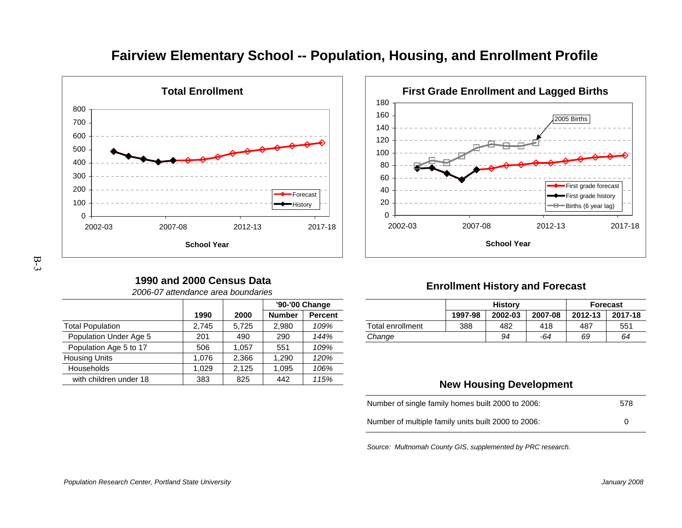

# **Fairview Elementary School -- Population, Housing, and Enrollment Profile**



# B-3

## **1990 and 2000 Census Data**

|  | 2006-07 attendance area boundaries |  |  |
|--|------------------------------------|--|--|
|--|------------------------------------|--|--|

|                         |       |       |               | '90-'00 Change |  |
|-------------------------|-------|-------|---------------|----------------|--|
|                         | 1990  | 2000  | <b>Number</b> | <b>Percent</b> |  |
| <b>Total Population</b> | 2,745 | 5,725 | 2,980         | 109%           |  |
| Population Under Age 5  | 201   | 490   | 290           | 144%           |  |
| Population Age 5 to 17  | 506   | 1.057 | 551           | 109%           |  |
| <b>Housing Units</b>    | 1,076 | 2,366 | 1.290         | 120%           |  |
| Households              | 1.029 | 2.125 | 1.095         | 106%           |  |
| with children under 18  | 383   | 825   | 442           | 115%           |  |
|                         |       |       |               |                |  |

## **Enrollment History and Forecast**

|       |       | '90-'00 Change |                |                  | <b>History</b> |         |         | <b>Forecast</b> |         |
|-------|-------|----------------|----------------|------------------|----------------|---------|---------|-----------------|---------|
| 1990  | 2000  | <b>Number</b>  | <b>Percent</b> |                  | 1997-98        | 2002-03 | 2007-08 | 2012-13         | 2017-18 |
| 2.745 | 5.725 | 2.980          | 109%           | Total enrollment | 388            | 482     | 418     | 487             | 551     |
| 201   | 490   | 290            | 144%           | Change           |                | 94      | -64     | 69              | 64      |
|       |       |                |                |                  |                |         |         |                 |         |

## **New Housing Development**

| Number of single family homes built 2000 to 2006:   | 578 |
|-----------------------------------------------------|-----|
| Number of multiple family units built 2000 to 2006: |     |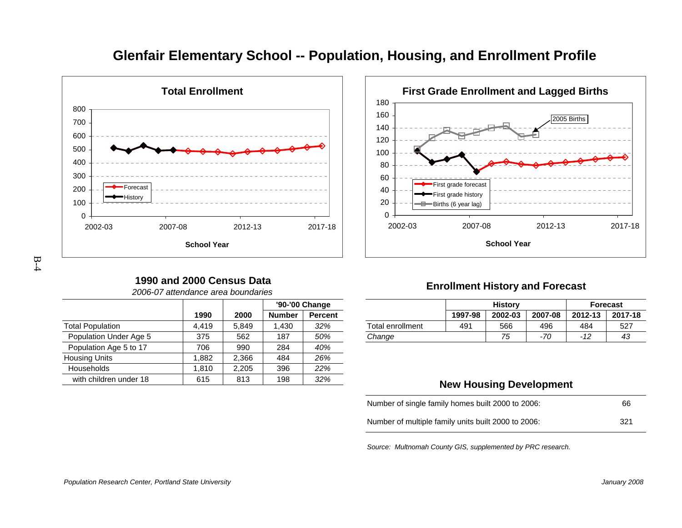

# **Glenfair Elementary School -- Population, Housing, and Enrollment Profile**

32%



# B-4

## **1990 and 2000 Census Data**

|                         |       |       | '90-'00 Change |                |  |  |  |  |
|-------------------------|-------|-------|----------------|----------------|--|--|--|--|
|                         | 1990  | 2000  | <b>Number</b>  | <b>Percent</b> |  |  |  |  |
| <b>Total Population</b> | 4,419 | 5.849 | 1,430          | 32%            |  |  |  |  |
| Population Under Age 5  | 375   | 562   | 187            | 50%            |  |  |  |  |
| Population Age 5 to 17  | 706   | 990   | 284            | 40%            |  |  |  |  |
| Housing Units           | 1,882 | 2,366 | 484            | 26%            |  |  |  |  |
| Households              | 1,810 | 2,205 | 396            | 22%            |  |  |  |  |
|                         |       |       |                |                |  |  |  |  |

8 | 615 | 813 | 198 | 32*%* 

2006-07 attendance area boundaries

## **Enrollment History and Forecast**

|       |       | '90-'00 Change |                |                  | <b>History</b> |         | <b>Forecast</b> |                  |         |
|-------|-------|----------------|----------------|------------------|----------------|---------|-----------------|------------------|---------|
| 1990  | 2000  | <b>Number</b>  | <b>Percent</b> |                  | 1997-98        | 2002-03 | 2007-08         | 2012-13          | 2017-18 |
| 4.419 | 5.849 | 430            | 32%            | Total enrollment | 491            | 566     | 496             | 484              | 527     |
| 375   | 562   | 187            | 50%            | Change           |                | 75      | $-70$           | $\sqrt{2}$<br>14 | 43      |
|       |       |                |                |                  |                |         |                 |                  |         |

## **New Housing Development**

| Number of single family homes built 2000 to 2006:   | 66   |
|-----------------------------------------------------|------|
| Number of multiple family units built 2000 to 2006: | -321 |

Source: Multnomah County GIS, supplemented by PRC research.

with children under 18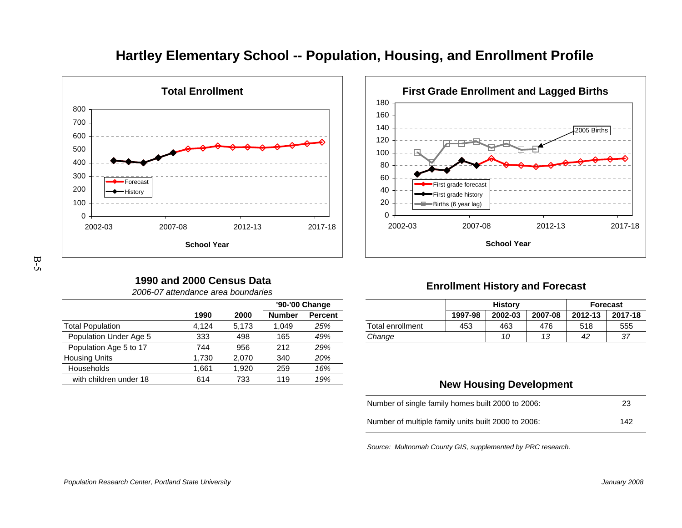

# **Hartley Elementary School -- Population, Housing, and Enrollment Profile**



# B-5

## **1990 and 2000 Census Data**

| 2006-07 attendance area boundaries |  |  |
|------------------------------------|--|--|
|                                    |  |  |

|                         |       |       |               | '90-'00 Change |
|-------------------------|-------|-------|---------------|----------------|
|                         | 1990  | 2000  | <b>Number</b> | <b>Percent</b> |
| <b>Total Population</b> | 4.124 | 5,173 | 1.049         | 25%            |
| Population Under Age 5  | 333   | 498   | 165           | 49%            |
| Population Age 5 to 17  | 744   | 956   | 212           | 29%            |
| <b>Housing Units</b>    | 1,730 | 2.070 | 340           | 20%            |
| <b>Households</b>       | 1,661 | 1.920 | 259           | 16%            |
| with children under 18  | 614   | 733   | 119           | 19%            |
|                         |       |       |               |                |

## **Enrollment History and Forecast**

|       |       | '90-'00 Change |         |                  | <b>History</b> |                 |                       | <b>Forecast</b> |         |  |
|-------|-------|----------------|---------|------------------|----------------|-----------------|-----------------------|-----------------|---------|--|
| 1990  | 2000  | <b>Number</b>  | Percent |                  | 1997-98        | 2002-03         | 2007-08               | 2012-13         | 2017-18 |  |
| 4.124 | 5.173 | .049           | 25%     | Total enrollment | 453            | 463             | 476                   | 518             | 555     |  |
| 333   | 498   | 165            | 49%     | Change           |                | 10 <sup>1</sup> | $\overline{a}$<br>ں ו | 42              | 37      |  |
|       |       |                |         |                  |                |                 |                       |                 |         |  |

## **New Housing Development**

| Number of single family homes built 2000 to 2006:   | 23  |
|-----------------------------------------------------|-----|
| Number of multiple family units built 2000 to 2006: | 142 |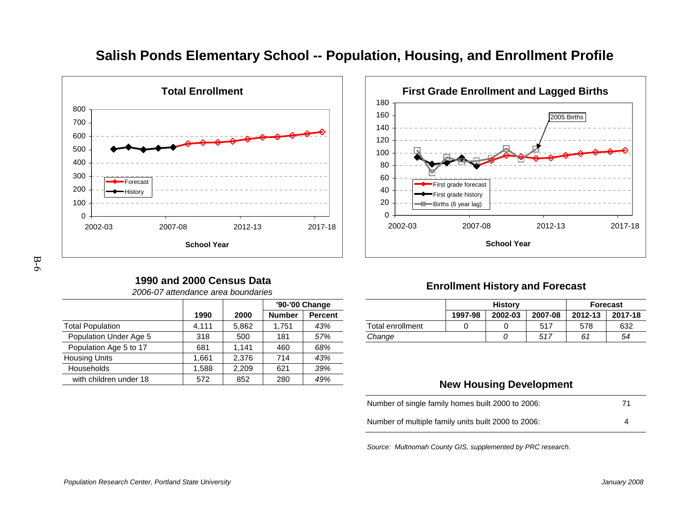

# **Salish Ponds Elementary School -- Population, Housing, and Enrollment Profile**

#### 0204060802002-03 2007-08 2012-13 2017-18 **School Year**First grade forecastFirst grade historyBirths (6 year lag)

**First Grade Enrollment and Lagged Births**

2005 Births

# B-6

## **1990 and 2000 Census Data**

|                         |       |       |               | '90-'00 Change |
|-------------------------|-------|-------|---------------|----------------|
|                         | 1990  | 2000  | <b>Number</b> | <b>Percent</b> |
| <b>Total Population</b> | 4,111 | 5,862 | 1,751         | 43%            |
| Population Under Age 5  | 318   | 500   | 181           | 57%            |
| Population Age 5 to 17  | 681   | 1.141 | 460           | 68%            |
| <b>Housing Units</b>    | 1,661 | 2,376 | 714           | 43%            |
| Households              | 1,588 | 2,209 | 621           | 39%            |
| with children under 18  | 572   | 852   | 280           | 49%            |

2006-07 attendance area boundaries

## **Enrollment History and Forecast**

| 1990  |       |               | '90-'00 Change |                  |         | <b>History</b> |         | <b>Forecast</b> |         |
|-------|-------|---------------|----------------|------------------|---------|----------------|---------|-----------------|---------|
|       | 2000  | <b>Number</b> | <b>Percent</b> |                  | 1997-98 | 2002-03        | 2007-08 | 2012-13         | 2017-18 |
| 4.111 | 5.862 | .751          | 43%            | Total enrollment |         |                | 517     | 578             | 632     |
| 318   | 500   | 181           | 57%            | Change           |         |                | 517     | 61              | 54      |

## **New Housing Development**

| Number of single family homes built 2000 to 2006:   | 71 |
|-----------------------------------------------------|----|
| Number of multiple family units built 2000 to 2006: |    |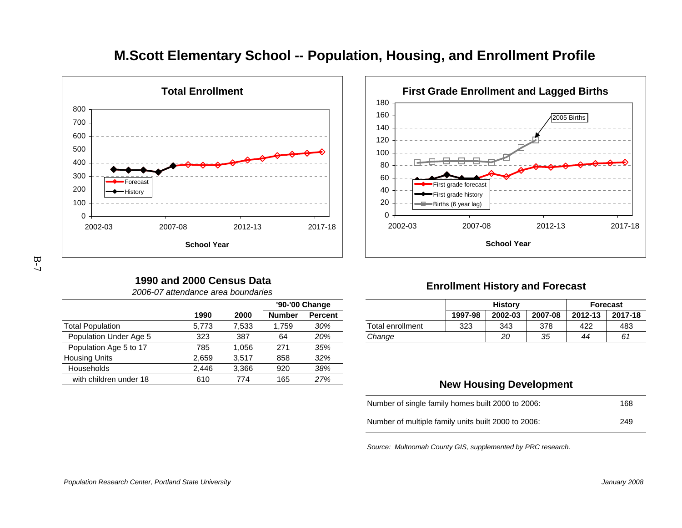

# **M.Scott Elementary School -- Population, Housing, and Enrollment Profile**

180



**First Grade Enrollment and Lagged Births**

# B-7

## **1990 and 2000 Census Data**

|  | 2006-07 attendance area boundaries |  |  |
|--|------------------------------------|--|--|
|--|------------------------------------|--|--|

|                         |       |       |               | '90-'00 Change |
|-------------------------|-------|-------|---------------|----------------|
|                         | 1990  | 2000  | <b>Number</b> | <b>Percent</b> |
| <b>Total Population</b> | 5,773 | 7,533 | 1,759         | 30%            |
| Population Under Age 5  | 323   | 387   | 64            | 20%            |
| Population Age 5 to 17  | 785   | 1.056 | 271           | 35%            |
| <b>Housing Units</b>    | 2,659 | 3.517 | 858           | 32%            |
| Households              | 2.446 | 3.366 | 920           | 38%            |
| with children under 18  | 610   | 774   | 165           | 27%            |
|                         |       |       |               |                |

## **Enrollment History and Forecast**

|       |       | '90-'00 Change |                |                  | <b>History</b> |         | <b>Forecast</b> |         |         |
|-------|-------|----------------|----------------|------------------|----------------|---------|-----------------|---------|---------|
| 1990  | 2000  | <b>Number</b>  | <b>Percent</b> |                  | 1997-98        | 2002-03 | 2007-08         | 2012-13 | 2017-18 |
| 5.773 | 7.533 | 759            | 30%            | Total enrollment | 323            | 343     | 378             | 422     | 483     |
| 323   | 387   | 64             | 20%            | Change           |                | 20      | 35              | 44      | 61      |

## **New Housing Development**

| Number of single family homes built 2000 to 2006:   | 168 |
|-----------------------------------------------------|-----|
| Number of multiple family units built 2000 to 2006: | 249 |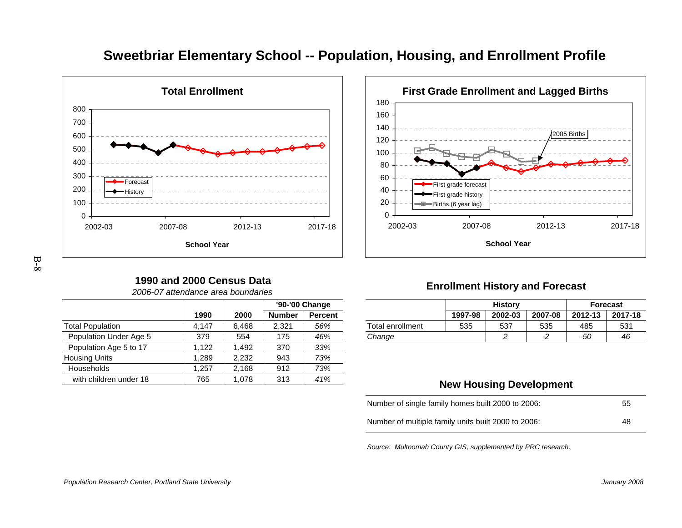

# **Sweetbriar Elementary School -- Population, Housing, and Enrollment Profile**

# 2002-03 2007-08 2012-13 2017-18 **School Year**

First grade forecastFirst grade historyBirths (6 year lag)

**First Grade Enrollment and Lagged Births**

2005 Births

#### **1990 and 2000 Census Data**2006-07 attendance area boundaries

|                         |       |       |               | '90-'00 Change |  |  |
|-------------------------|-------|-------|---------------|----------------|--|--|
|                         | 1990  | 2000  | <b>Number</b> | <b>Percent</b> |  |  |
| <b>Total Population</b> | 4,147 | 6,468 | 2.321         | 56%            |  |  |
| Population Under Age 5  | 379   | 554   | 175           | 46%            |  |  |
| Population Age 5 to 17  | 1,122 | 1.492 | 370           | 33%            |  |  |
| <b>Housing Units</b>    | 1.289 | 2,232 | 943           | 73%            |  |  |
| Households              | 1.257 | 2,168 | 912           | 73%            |  |  |
| with children under 18  | 765   | 1,078 | 313           | 41%            |  |  |

## **Enrollment History and Forecast**

|       |       |               | '90-'00 Change |                  |         | <b>History</b> |         |         | <b>Forecast</b> |
|-------|-------|---------------|----------------|------------------|---------|----------------|---------|---------|-----------------|
| 1990  | 2000  | <b>Number</b> | <b>Percent</b> |                  | 1997-98 | 2002-03        | 2007-08 | 2012-13 | 2017-18         |
| 4.147 | 6.468 | 2.321         | 56%            | Total enrollment | 535     | 537            | 535     | 485     | 531             |
| 379   | 554   | 175           | 46%            | Change           |         |                |         | -50     | 46              |
|       |       |               |                |                  |         |                |         |         |                 |

## **New Housing Development**

| Number of single family homes built 2000 to 2006:   | 55 |
|-----------------------------------------------------|----|
| Number of multiple family units built 2000 to 2006: | 48 |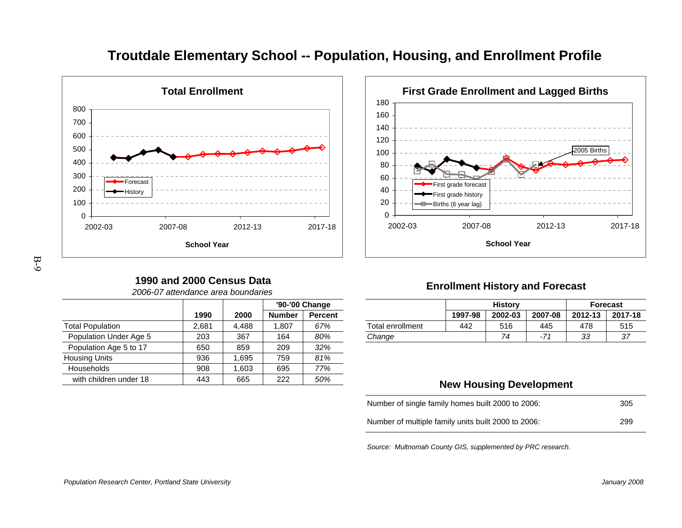

# **Troutdale Elementary School -- Population, Housing, and Enrollment Profile**

160180



**First Grade Enrollment and Lagged Births**

# B-9

## **1990 and 2000 Census Data**

| 2006-07 attendance area boundaries |  |  |
|------------------------------------|--|--|
|                                    |  |  |

|                         |       |       |               | '90-'00 Change |
|-------------------------|-------|-------|---------------|----------------|
|                         | 1990  | 2000  | <b>Number</b> | <b>Percent</b> |
| <b>Total Population</b> | 2,681 | 4.488 | 1.807         | 67%            |
| Population Under Age 5  | 203   | 367   | 164           | 80%            |
| Population Age 5 to 17  | 650   | 859   | 209           | 32%            |
| <b>Housing Units</b>    | 936   | 1.695 | 759           | 81%            |
| <b>Households</b>       | 908   | 1.603 | 695           | 77%            |
| with children under 18  | 443   | 665   | 222           | 50%            |
|                         |       |       |               |                |

## **Enrollment History and Forecast**

|       |      |               | '90-'00 Change |                  |         | <b>History</b> |         |          | <b>Forecast</b> |
|-------|------|---------------|----------------|------------------|---------|----------------|---------|----------|-----------------|
| 1990  | 2000 | <b>Number</b> | <b>Percent</b> |                  | 1997-98 | 2002-03        | 2007-08 | 2012-13  | 2017-18         |
| 2.681 | .488 | .807          | 67%            | Total enrollment | 442     | 516            | 445     | 478      | 515             |
| 203   | 367  | 164           | 80%            | Change           |         | 74             | $-7'$   | २२<br>აა | 37              |
|       |      |               |                |                  |         |                |         |          |                 |

## **New Housing Development**

| Number of single family homes built 2000 to 2006:   | -305 |
|-----------------------------------------------------|------|
| Number of multiple family units built 2000 to 2006: | 299  |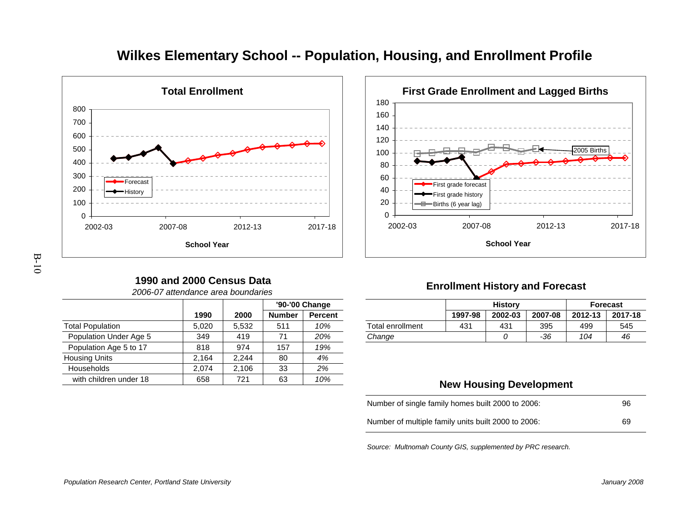

# **Wilkes Elementary School -- Population, Housing, and Enrollment Profile**

## 0202002-03 2007-08 2012-13 2017-18 **School Year**First grade historyBirths (6 year lag)

First grade forecast

# B-10

## **1990 and 2000 Census Data**

|                         |       |       |               | '90-'00 Change |
|-------------------------|-------|-------|---------------|----------------|
|                         | 1990  | 2000  | <b>Number</b> | <b>Percent</b> |
| <b>Total Population</b> | 5,020 | 5.532 | 511           | 10%            |
| Population Under Age 5  | 349   | 419   | 71            | 20%            |
| Population Age 5 to 17  | 818   | 974   | 157           | 19%            |
| <b>Housing Units</b>    | 2,164 | 2.244 | 80            | 4%             |
| Households              | 2,074 | 2,106 | 33            | 2%             |
| with children under 18  | 658   | 721   | 63            | 10%            |

2006-07 attendance area boundaries

## **Enrollment History and Forecast**

**First Grade Enrollment and Lagged Births**

2005 Births

|       |       | '90-'00 Change |                |                  |                 | <b>History</b> |         |         | <b>Forecast</b> |
|-------|-------|----------------|----------------|------------------|-----------------|----------------|---------|---------|-----------------|
| 1990  | 2000  | <b>Number</b>  | <b>Percent</b> |                  | 1997-98         | 2002-03        | 2007-08 | 2012-13 | 2017-18         |
| 5.020 | 5.532 | 51'            | 10%            | Total enrollment | 43 <sup>1</sup> | 431            | 395     | 499     | 545             |
| 349   | 419   |                | 20%            | Change           |                 |                | -36     | 104     | 46              |

## **New Housing Development**

| Number of single family homes built 2000 to 2006:   | 96 |
|-----------------------------------------------------|----|
| Number of multiple family units built 2000 to 2006: | 69 |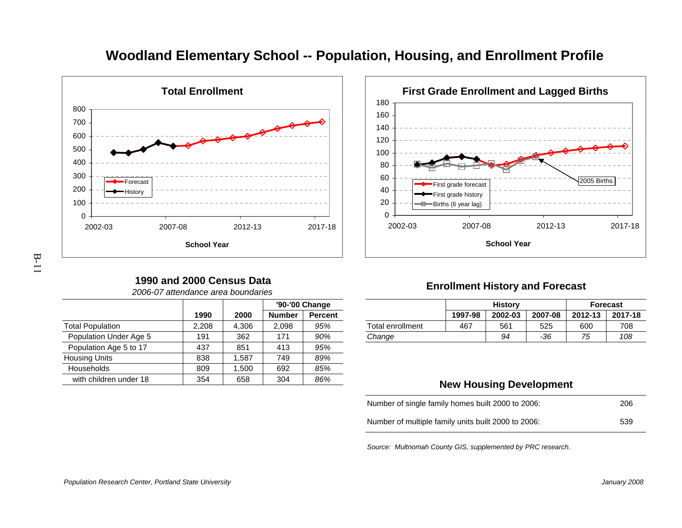

## **Woodland Elementary School -- Population, Housing, and Enrollment Profile**

2002-03

# **School Year**

First grade forecastFirst grade historyBirths (6 year lag)

2007-08 2012-13 2017-18

2005 Births

**First Grade Enrollment and Lagged Births**

#### **1990 and 2000 Census Data**2006-07 attendance area boundaries

|       |       |               | '90-'00 Change |
|-------|-------|---------------|----------------|
| 1990  | 2000  | <b>Number</b> | <b>Percent</b> |
| 2,208 | 4,306 | 2,098         | 95%            |
| 191   | 362   | 171           | 90%            |
| 437   | 851   | 413           | 95%            |
| 838   | 1.587 | 749           | 89%            |
| 809   | 1,500 | 692           | 85%            |
| 354   | 658   | 304           | 86%            |
|       |       |               |                |

## **Enrollment History and Forecast**

|       |      | '90-'00 Change |                |                  |         | <b>History</b> |         |         | <b>Forecast</b> |
|-------|------|----------------|----------------|------------------|---------|----------------|---------|---------|-----------------|
| 1990  | 2000 | <b>Number</b>  | <b>Percent</b> |                  | 1997-98 | 2002-03        | 2007-08 | 2012-13 | 2017-18         |
| 2.208 | .306 | 2.098          | 95%            | Total enrollment | 467     | 561            | 525     | 600     | 708             |
| 191   | 362  | 171            | 90%            | Change           |         | 94             | -36     | 75      | 108             |

## **New Housing Development**

| Number of single family homes built 2000 to 2006:   | 206 |
|-----------------------------------------------------|-----|
| Number of multiple family units built 2000 to 2006: | 539 |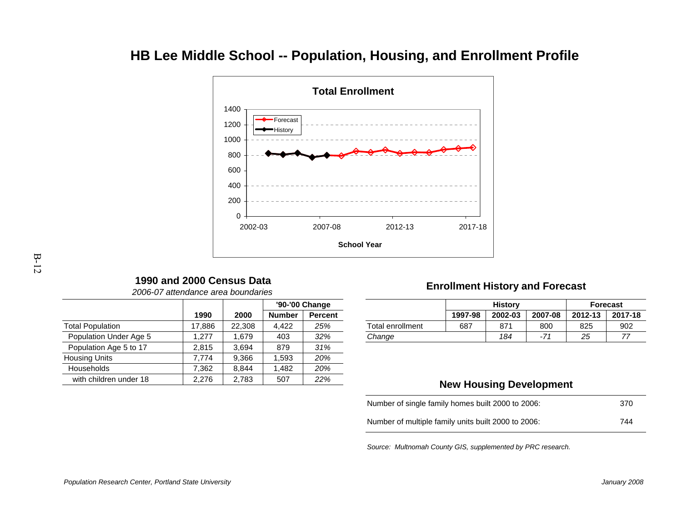# **HB Lee Middle School -- Population, Housing, and Enrollment Profile**



## **1990 and 2000 Census Data**

|                         |        |        |               | '90-'00 Change |
|-------------------------|--------|--------|---------------|----------------|
|                         | 1990   | 2000   | <b>Number</b> | <b>Percent</b> |
| <b>Total Population</b> | 17,886 | 22,308 | 4,422         | 25%            |
| Population Under Age 5  | 1.277  | 1,679  | 403           | 32%            |
| Population Age 5 to 17  | 2.815  | 3.694  | 879           | 31%            |
| <b>Housing Units</b>    | 7.774  | 9.366  | 1.593         | 20%            |
| <b>Households</b>       | 7.362  | 8.844  | 1.482         | 20%            |
| with children under 18  | 2,276  | 2,783  | 507           | 22%            |

2006-07 attendance area boundaries

## **Enrollment History and Forecast**

|              |        |        | '90-'00 Change |                         |         | <b>History</b> |         |         | <b>Forecast</b> |
|--------------|--------|--------|----------------|-------------------------|---------|----------------|---------|---------|-----------------|
| 1990         | 2000   | Number | <b>Percent</b> |                         | 1997-98 | 2002-03        | 2007-08 | 2012-13 | 2017-18         |
| 17.886       | 22.308 | 4.422  | 25%            | <b>Total enrollment</b> | 687     | 871            | 800     | 825     | 902             |
| 277<br>ا ا ک | .679   | 403    | 32%            | Change                  |         | 184            |         | 25      |                 |
|              |        |        |                |                         |         |                |         |         |                 |

## **New Housing Development**

| Number of single family homes built 2000 to 2006:   | 370 |
|-----------------------------------------------------|-----|
| Number of multiple family units built 2000 to 2006: | 744 |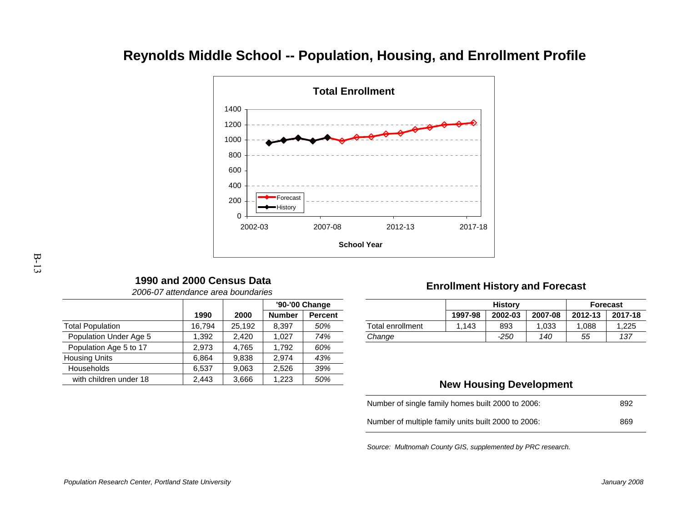# **Reynolds Middle School -- Population, Housing, and Enrollment Profile**



## **1990 and 2000 Census Data**

|                         |        |        |               | '90-'00 Change |
|-------------------------|--------|--------|---------------|----------------|
|                         | 1990   | 2000   | <b>Number</b> | <b>Percent</b> |
| <b>Total Population</b> | 16,794 | 25,192 | 8.397         | 50%            |
| Population Under Age 5  | 1.392  | 2,420  | 1.027         | 74%            |
| Population Age 5 to 17  | 2.973  | 4,765  | 1.792         | 60%            |
| <b>Housing Units</b>    | 6.864  | 9,838  | 2.974         | 43%            |
| <b>Households</b>       | 6.537  | 9,063  | 2.526         | 39%            |
| with children under 18  | 2,443  | 3,666  | 1.223         | 50%            |

2006-07 attendance area boundaries

## **Enrollment History and Forecast**

|        |        |               | '90-'00 Change<br><b>Percent</b><br>50% |  |                  | <b>History</b> |         | Forecast |         |         |
|--------|--------|---------------|-----------------------------------------|--|------------------|----------------|---------|----------|---------|---------|
| 1990   | 2000   | <b>Number</b> |                                         |  |                  | 1997-98        | 2002-03 | 2007-08  | 2012-13 | 2017-18 |
| 16.794 | 25.192 | 8,397         |                                         |  | Total enrollment | 143            | 893     | ,033     | .088    | ,225    |
| .392   | 2.420  | .027          | 74%                                     |  | Change           |                | $-250$  | 140      | 55      | 137     |
|        |        |               |                                         |  |                  |                |         |          |         |         |

## **New Housing Development**

| Number of single family homes built 2000 to 2006:   | 892 |
|-----------------------------------------------------|-----|
| Number of multiple family units built 2000 to 2006: | 869 |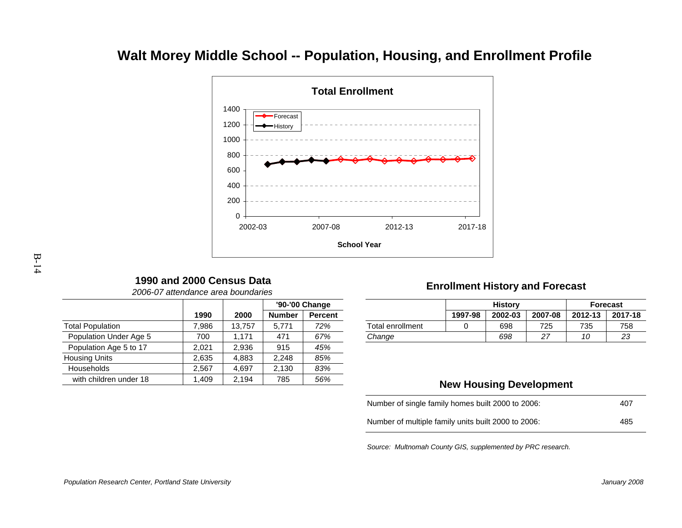# **Walt Morey Middle School -- Population, Housing, and Enrollment Profile**



## **1990 and 2000 Census Data**

|                         |       |        | '90-'00 Change |                |  |
|-------------------------|-------|--------|----------------|----------------|--|
|                         | 1990  | 2000   | <b>Number</b>  | <b>Percent</b> |  |
| <b>Total Population</b> | 7,986 | 13,757 | 5,771          | 72%            |  |
| Population Under Age 5  | 700   | 1,171  | 471            | 67%            |  |
| Population Age 5 to 17  | 2.021 | 2,936  | 915            | 45%            |  |
| <b>Housing Units</b>    | 2,635 | 4.883  | 2.248          | 85%            |  |
| Households              | 2.567 | 4.697  | 2,130          | 83%            |  |
| with children under 18  | 1,409 | 2.194  | 785            | 56%            |  |

2006-07 attendance area boundaries

## **Enrollment History and Forecast**

|      |        |                   | '90-'00 Change |                  |         | <b>History</b> |                  |                 | <b>Forecast</b> |
|------|--------|-------------------|----------------|------------------|---------|----------------|------------------|-----------------|-----------------|
| 1990 | 2000   | <b>Number</b>     | <b>Percent</b> |                  | 1997-98 | 2002-03        | 2007-08          | 2012-13         | 2017-18         |
| .986 | 13.757 | 5.77 <sup>4</sup> | 72%            | Total enrollment |         | 698            | 725              | 735             | 758             |
| 700  | 171    | 47 <sup>4</sup>   | 67%            | Change           |         | 698            | っっ<br>$\epsilon$ | $\overline{10}$ | 23              |
|      |        |                   |                |                  |         |                |                  |                 |                 |

## **New Housing Development**

| Number of single family homes built 2000 to 2006:   | 407 |
|-----------------------------------------------------|-----|
| Number of multiple family units built 2000 to 2006: | 485 |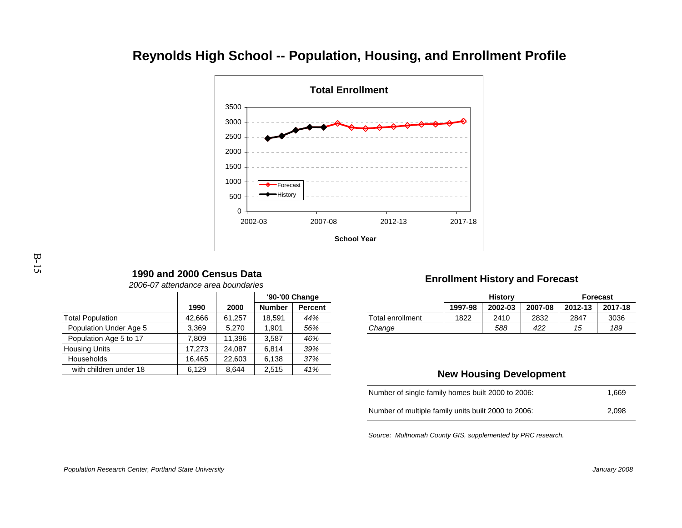# **Reynolds High School -- Population, Housing, and Enrollment Profile**



## **1990 and 2000 Census Data**

|                         |        |        |               | '90-'00 Change |  |
|-------------------------|--------|--------|---------------|----------------|--|
|                         | 1990   | 2000   | <b>Number</b> | <b>Percent</b> |  |
| <b>Total Population</b> | 42,666 | 61,257 | 18,591        | 44%            |  |
| Population Under Age 5  | 3,369  | 5,270  | 1.901         | 56%            |  |
| Population Age 5 to 17  | 7.809  | 11,396 | 3.587         | 46%            |  |
| <b>Housing Units</b>    | 17,273 | 24,087 | 6,814         | 39%            |  |
| Households              | 16,465 | 22,603 | 6,138         | 37%            |  |
| with children under 18  | 6,129  | 8.644  | 2,515         | 41%            |  |

#### 2006-07 attendance area boundaries

## **Enrollment History and Forecast**

| je i   |                  |         | <b>History</b> | <b>Forecast</b> |         |         |
|--------|------------------|---------|----------------|-----------------|---------|---------|
| :ent   |                  | 1997-98 | 2002-03        | 2007-08         | 2012-13 | 2017-18 |
| %      | Total enrollment | 1822    | 2410           | 2832            | 2847    | 3036    |
| %      | Change           |         | 588            | 422             | 15      | 189     |
| $\sim$ |                  |         |                |                 |         |         |

#### **New Housing Development**

| Number of single family homes built 2000 to 2006:   | 1.669 |
|-----------------------------------------------------|-------|
| Number of multiple family units built 2000 to 2006: | 2.098 |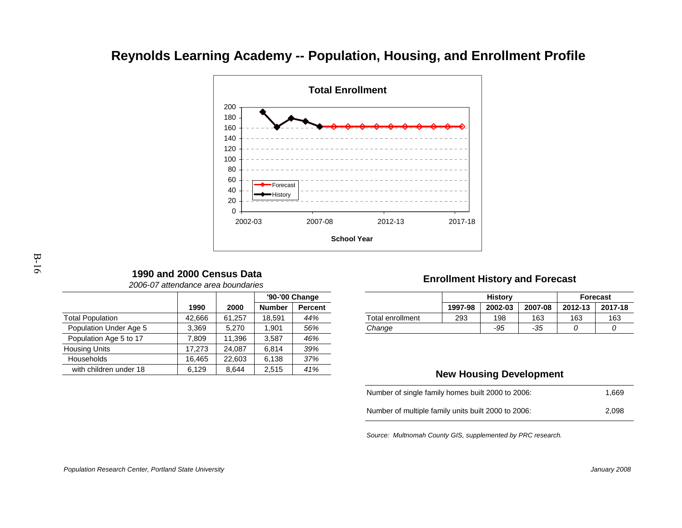# **Reynolds Learning Academy -- Population, Housing, and Enrollment Profile**



### **1990 and 2000 Census Data**

|                         |        |        | '90-'00 Change |                |  |  |
|-------------------------|--------|--------|----------------|----------------|--|--|
|                         | 1990   | 2000   | <b>Number</b>  | <b>Percent</b> |  |  |
| <b>Total Population</b> | 42,666 | 61,257 | 18.591         | 44%            |  |  |
| Population Under Age 5  | 3,369  | 5,270  | 1.901          | 56%            |  |  |
| Population Age 5 to 17  | 7.809  | 11,396 | 3,587          | 46%            |  |  |
| <b>Housing Units</b>    | 17,273 | 24,087 | 6,814          | 39%            |  |  |
| Households              | 16,465 | 22,603 | 6,138          | 37%            |  |  |
| with children under 18  | 6,129  | 8.644  | 2,515          | 41%            |  |  |

2006-07 attendance area boundaries

### **Enrollment History and Forecast**

| jе     |                  |         | <b>History</b> | <b>Forecast</b> |         |         |
|--------|------------------|---------|----------------|-----------------|---------|---------|
| :ent   |                  | 1997-98 | 2002-03        | 2007-08         | 2012-13 | 2017-18 |
| %      | Total enrollment | 293     | 198            | 163             | 163     | 163     |
| %      | Change           |         | -95            | -35             |         |         |
| $\sim$ |                  |         |                |                 |         |         |

#### **New Housing Development**

| Number of single family homes built 2000 to 2006:   | 1.669 |
|-----------------------------------------------------|-------|
| Number of multiple family units built 2000 to 2006: | 2.098 |

Source: Multnomah County GIS, supplemented by PRC research.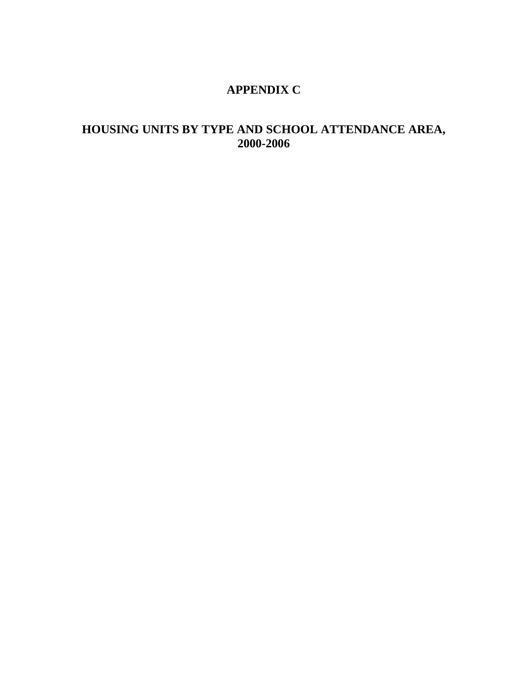## **APPENDIX C**

## **HOUSING UNITS BY TYPE AND SCHOOL ATTENDANCE AREA, 2000-2006**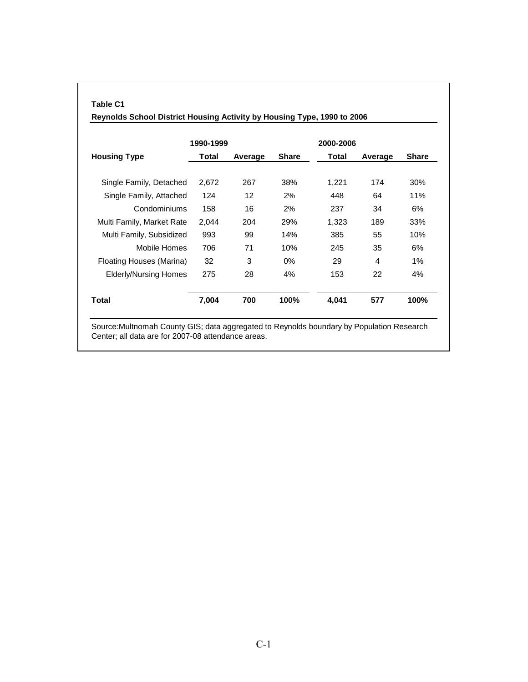|                              | 1990-1999 |         |              | 2000-2006 |         |              |  |  |
|------------------------------|-----------|---------|--------------|-----------|---------|--------------|--|--|
| <b>Housing Type</b>          | Total     | Average | <b>Share</b> | Total     | Average | <b>Share</b> |  |  |
| Single Family, Detached      | 2,672     | 267     | 38%          | 1,221     | 174     | 30%          |  |  |
| Single Family, Attached      | 124       | 12      | 2%           | 448       | 64      | 11%          |  |  |
| Condominiums                 | 158       | 16      | 2%           | 237       | 34      | 6%           |  |  |
| Multi Family, Market Rate    | 2,044     | 204     | 29%          | 1,323     | 189     | 33%          |  |  |
| Multi Family, Subsidized     | 993       | 99      | 14%          | 385       | 55      | 10%          |  |  |
| <b>Mobile Homes</b>          | 706       | 71      | 10%          | 245       | 35      | 6%           |  |  |
| Floating Houses (Marina)     | 32        | 3       | $0\%$        | 29        | 4       | 1%           |  |  |
| <b>Elderly/Nursing Homes</b> | 275       | 28      | 4%           | 153       | 22      | 4%           |  |  |
| Total                        | 7,004     | 700     | 100%         | 4,041     | 577     | 100%         |  |  |

**Table C1**